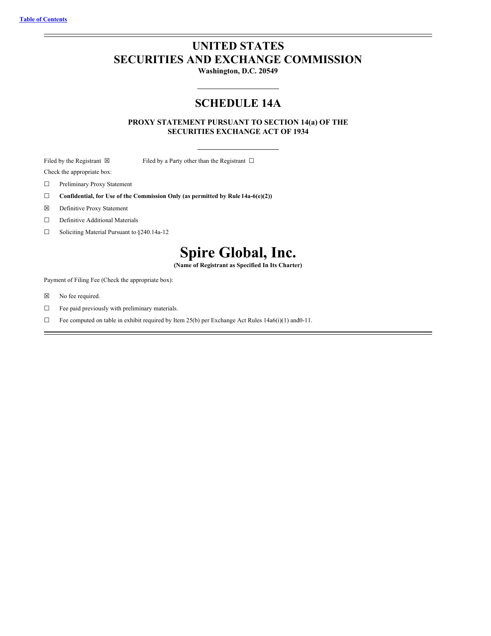# <span id="page-0-0"></span>**UNITED STATES SECURITIES AND EXCHANGE COMMISSION**

**Washington, D.C. 20549**

# **SCHEDULE 14A**

**PROXY STATEMENT PURSUANT TO SECTION 14(a) OF THE SECURITIES EXCHANGE ACT OF 1934**

Filed by the Registrant  $\boxtimes$  Filed by a Party other than the Registrant  $\Box$ Check the appropriate box:

☐ Preliminary Proxy Statement

- ☐ **Confidential, for Use of the Commission Only (as permitted by Rule 14a-6(e)(2))**
- ☒ Definitive Proxy Statement
- ☐ Definitive Additional Materials
- ☐ Soliciting Material Pursuant to §240.14a-12

# **Spire Global, Inc.**

**(Name of Registrant as Specified In Its Charter)**

Payment of Filing Fee (Check the appropriate box):

- ☒ No fee required.
- $\hfill\Box\quad$  Fee paid previously with preliminary materials.
- □ Fee computed on table in exhibit required by Item 25(b) per Exchange Act Rules  $14a6(i)(1)$  and0-11.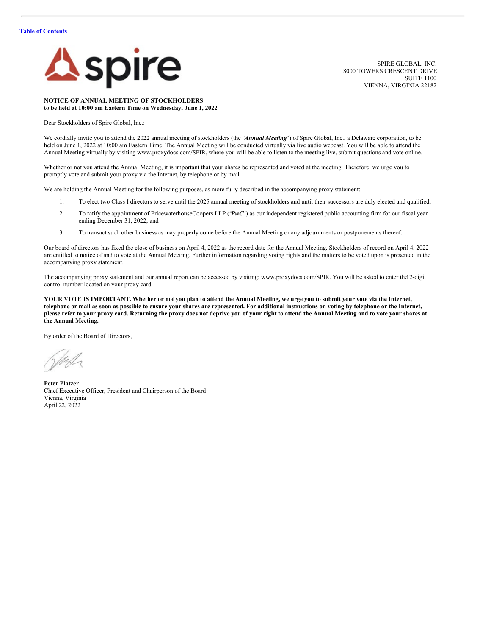

SPIRE GLOBAL, INC. 8000 TOWERS CRESCENT DRIVE SUITE 1100 VIENNA, VIRGINIA 22182

## **NOTICE OF ANNUAL MEETING OF STOCKHOLDERS to be held at 10:00 am Eastern Time on Wednesday, June 1, 2022**

Dear Stockholders of Spire Global, Inc.:

We cordially invite you to attend the 2022 annual meeting of stockholders (the "Annual Meeting") of Spire Global, Inc., a Delaware corporation, to be held on June 1, 2022 at 10:00 am Eastern Time. The Annual Meeting will be conducted virtually via live audio webcast. You will be able to attend the Annual Meeting virtually by visiting www.proxydocs.com/SPIR, where you will be able to listen to the meeting live, submit questions and vote online.

Whether or not you attend the Annual Meeting, it is important that your shares be represented and voted at the meeting. Therefore, we urge you to promptly vote and submit your proxy via the Internet, by telephone or by mail.

We are holding the Annual Meeting for the following purposes, as more fully described in the accompanying proxy statement:

- 1. To elect two Class I directors to serve until the 2025 annual meeting of stockholders and until their successors are duly elected and qualified;
- 2. To ratify the appointment of PricewaterhouseCoopers LLP ('PwC'') as our independent registered public accounting firm for our fiscal year ending December 31, 2022; and
- 3. To transact such other business as may properly come before the Annual Meeting or any adjournments or postponements thereof.

Our board of directors has fixed the close of business on April 4, 2022 as the record date for the Annual Meeting. Stockholders of record on April 4, 2022 are entitled to notice of and to vote at the Annual Meeting. Further information regarding voting rights and the matters to be voted upon is presented in the accompanying proxy statement.

The accompanying proxy statement and our annual report can be accessed by visiting: www.proxydocs.com/SPIR. You will be asked to enter the12-digit control number located on your proxy card.

YOUR VOTE IS IMPORTANT. Whether or not you plan to attend the Annual Meeting, we urge you to submit your vote via the Internet, telephone or mail as soon as possible to ensure your shares are represented. For additional instructions on voting by telephone or the Internet, please refer to your proxy card. Returning the proxy does not deprive you of your right to attend the Annual Meeting and to vote your shares at **the Annual Meeting.**

By order of the Board of Directors,

**Peter Platzer** Chief Executive Officer, President and Chairperson of the Board Vienna, Virginia April 22, 2022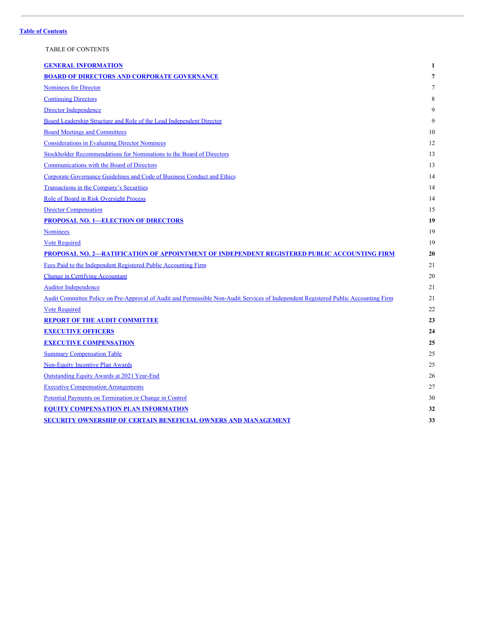## <span id="page-2-0"></span>TABLE OF CONTENTS

| <b>GENERAL INFORMATION</b>                                                                                                          | 1  |
|-------------------------------------------------------------------------------------------------------------------------------------|----|
| <b>BOARD OF DIRECTORS AND CORPORATE GOVERNANCE</b>                                                                                  | 7  |
| Nominees for Director                                                                                                               | 7  |
| <b>Continuing Directors</b>                                                                                                         | 8  |
| Director Independence                                                                                                               | 9  |
| Board Leadership Structure and Role of the Lead Independent Director                                                                | 9  |
| <b>Board Meetings and Committees</b>                                                                                                | 10 |
| <b>Considerations in Evaluating Director Nominees</b>                                                                               | 12 |
| Stockholder Recommendations for Nominations to the Board of Directors                                                               | 13 |
| <b>Communications with the Board of Directors</b>                                                                                   | 13 |
| Corporate Governance Guidelines and Code of Business Conduct and Ethics                                                             | 14 |
| Transactions in the Company's Securities                                                                                            | 14 |
| Role of Board in Risk Oversight Process                                                                                             | 14 |
| <b>Director Compensation</b>                                                                                                        | 15 |
| <b>PROPOSAL NO. 1-ELECTION OF DIRECTORS</b>                                                                                         | 19 |
| <b>Nominees</b>                                                                                                                     | 19 |
| <b>Vote Required</b>                                                                                                                | 19 |
| PROPOSAL NO. 2-RATIFICATION OF APPOINTMENT OF INDEPENDENT REGISTERED PUBLIC ACCOUNTING FIRM                                         | 20 |
| Fees Paid to the Independent Registered Public Accounting Firm                                                                      | 21 |
| <b>Change in Certifying Accountant</b>                                                                                              | 20 |
| <b>Auditor Independence</b>                                                                                                         | 21 |
| Audit Committee Policy on Pre-Approval of Audit and Permissible Non-Audit Services of Independent Registered Public Accounting Firm | 21 |
| <b>Vote Required</b>                                                                                                                | 22 |
| <b>REPORT OF THE AUDIT COMMITTEE</b>                                                                                                | 23 |
| <b>EXECUTIVE OFFICERS</b>                                                                                                           | 24 |
| <b>EXECUTIVE COMPENSATION</b>                                                                                                       | 25 |
| <b>Summary Compensation Table</b>                                                                                                   | 25 |
| Non-Equity Incentive Plan Awards                                                                                                    | 25 |
| Outstanding Equity Awards at 2021 Year-End                                                                                          | 26 |
| <b>Executive Compensation Arrangements</b>                                                                                          | 27 |
| Potential Payments on Termination or Change in Control                                                                              | 30 |
| <b>EQUITY COMPENSATION PLAN INFORMATION</b>                                                                                         | 32 |
| <b>SECURITY OWNERSHIP OF CERTAIN BENEFICIAL OWNERS AND MANAGEMENT</b>                                                               | 33 |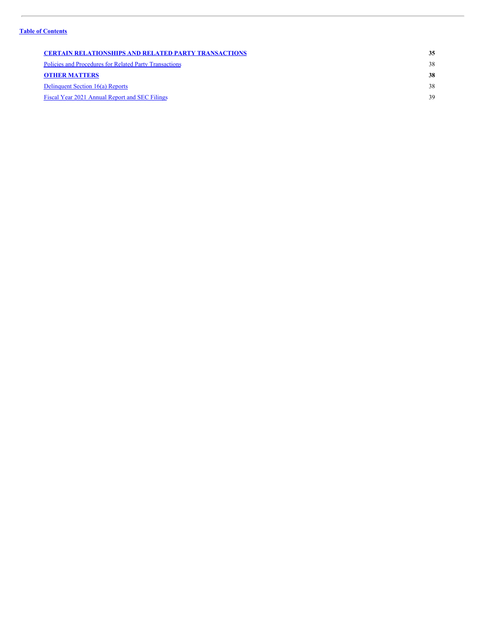| <b>CERTAIN RELATIONSHIPS AND RELATED PARTY TRANSACTIONS</b> | 35 |
|-------------------------------------------------------------|----|
| Policies and Procedures for Related Party Transactions      | 38 |
| <b>OTHER MATTERS</b>                                        | 38 |
| Delinquent Section 16(a) Reports                            | 38 |
| Fiscal Year 2021 Annual Report and SEC Filings              | 39 |
|                                                             |    |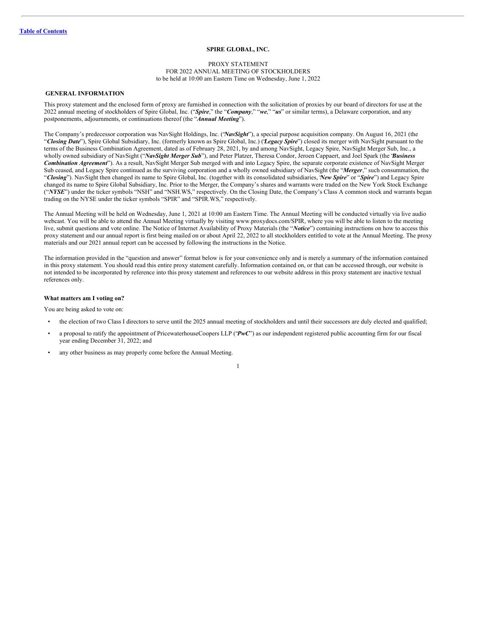## **SPIRE GLOBAL, INC.**

#### PROXY STATEMENT FOR 2022 ANNUAL MEETING OF STOCKHOLDERS to be held at 10:00 am Eastern Time on Wednesday, June 1, 2022

## <span id="page-4-0"></span>**GENERAL INFORMATION**

This proxy statement and the enclosed form of proxy are furnished in connection with the solicitation of proxies by our board of directors for use at the 2022 annual meeting of stockholders of Spire Global, Inc. ("*Spire*," the "*Company*," "*we*," "*us*" or similar terms), a Delaware corporation, and any postponements, adjournments, or continuations thereof (the "*Annual Meeting*").

The Company's predecessor corporation was NavSight Holdings, Inc. ("*NavSight*"), a special purpose acquisition company. On August 16, 2021 (the "*Closing Date*"), Spire Global Subsidiary, Inc. (formerly known as Spire Global, Inc.) ("*Legacy Spire*") closed its merger with NavSight pursuant to the terms of the Business Combination Agreement, dated as of February 28, 2021, by and among NavSight, Legacy Spire, NavSight Merger Sub, Inc., a wholly owned subsidiary of NavSight ("*NavSight Merger Sub*"), and Peter Platzer, Theresa Condor, Jeroen Cappaert, and Joel Spark (the "*Business Combination Agreement*"). As a result, NavSight Merger Sub merged with and into Legacy Spire, the separate corporate existence of NavSight Merger Sub ceased, and Legacy Spire continued as the surviving corporation and a wholly owned subsidiary of NavSight (the "*Merger*," such consummation, the "*Closing*"). NavSight then changed its name to Spire Global, Inc. (together with its consolidated subsidiaries, "*New Spire*" or "*Spire*") and Legacy Spire changed its name to Spire Global Subsidiary, Inc. Prior to the Merger, the Company's shares and warrants were traded on the New York Stock Exchange ("*NYSE*") under the ticker symbols "NSH" and "NSH.WS," respectively. On the Closing Date, the Company's Class A common stock and warrants began trading on the NYSE under the ticker symbols "SPIR" and "SPIR.WS," respectively.

The Annual Meeting will be held on Wednesday, June 1, 2021 at 10:00 am Eastern Time. The Annual Meeting will be conducted virtually via live audio webcast. You will be able to attend the Annual Meeting virtually by visiting www.proxydocs.com/SPIR, where you will be able to listen to the meeting live, submit questions and vote online. The Notice of Internet Availability of Proxy Materials (the "*Notice*") containing instructions on how to access this proxy statement and our annual report is first being mailed on or about April 22, 2022 to all stockholders entitled to vote at the Annual Meeting. The proxy materials and our 2021 annual report can be accessed by following the instructions in the Notice.

The information provided in the "question and answer" format below is for your convenience only and is merely a summary of the information contained in this proxy statement. You should read this entire proxy statement carefully. Information contained on, or that can be accessed through, our website is not intended to be incorporated by reference into this proxy statement and references to our website address in this proxy statement are inactive textual references only.

## **What matters am I voting on?**

You are being asked to vote on:

- the election of two Class I directors to serve until the 2025 annual meeting of stockholders and until their successors are duly elected and qualified;
- a proposal to ratify the appointment of PricewaterhouseCoopers LLP ("*PwC*") as our independent registered public accounting firm for our fiscal year ending December 31, 2022; and
- any other business as may properly come before the Annual Meeting.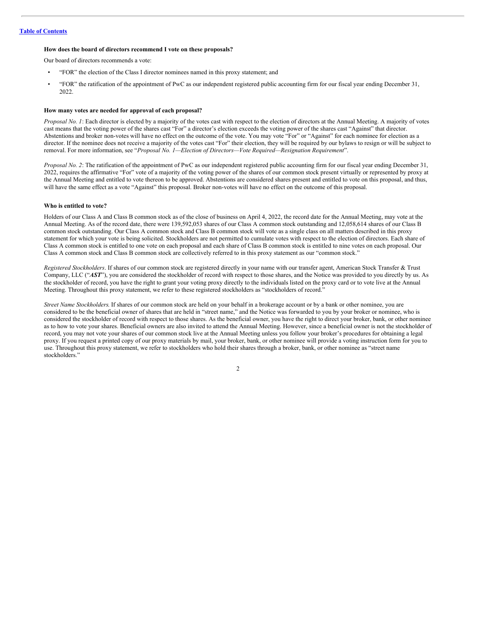## **How does the board of directors recommend I vote on these proposals?**

Our board of directors recommends a vote:

- "FOR" the election of the Class I director nominees named in this proxy statement; and
- "FOR" the ratification of the appointment of PwC as our independent registered public accounting firm for our fiscal year ending December 31, 2022.

### **How many votes are needed for approval of each proposal?**

*Proposal No. 1*: Each director is elected by a majority of the votes cast with respect to the election of directors at the Annual Meeting. A majority of votes cast means that the voting power of the shares cast "For" a director's election exceeds the voting power of the shares cast "Against" that director. Abstentions and broker non-votes will have no effect on the outcome of the vote. You may vote "For" or "Against" for each nominee for election as a director. If the nominee does not receive a majority of the votes cast "For" their election, they will be required by our bylaws to resign or will be subject to removal. For more information, see "*Proposal No. 1—Election of Directors—Vote Required—Resignation Requirement*".

*Proposal No. 2*: The ratification of the appointment of PwC as our independent registered public accounting firm for our fiscal year ending December 31, 2022, requires the affirmative "For" vote of a majority of the voting power of the shares of our common stock present virtually or represented by proxy at the Annual Meeting and entitled to vote thereon to be approved. Abstentions are considered shares present and entitled to vote on this proposal, and thus, will have the same effect as a vote "Against" this proposal. Broker non-votes will have no effect on the outcome of this proposal.

#### **Who is entitled to vote?**

Holders of our Class A and Class B common stock as of the close of business on April 4, 2022, the record date for the Annual Meeting, may vote at the Annual Meeting. As of the record date, there were 139,592,053 shares of our Class A common stock outstanding and 12,058,614 shares of our Class B common stock outstanding. Our Class A common stock and Class B common stock will vote as a single class on all matters described in this proxy statement for which your vote is being solicited. Stockholders are not permitted to cumulate votes with respect to the election of directors. Each share of Class A common stock is entitled to one vote on each proposal and each share of Class B common stock is entitled to nine votes on each proposal. Our Class A common stock and Class B common stock are collectively referred to in this proxy statement as our "common stock."

*Registered Stockholders*. If shares of our common stock are registered directly in your name with our transfer agent, American Stock Transfer & Trust Company, LLC ("*AST*"), you are considered the stockholder of record with respect to those shares, and the Notice was provided to you directly by us. As the stockholder of record, you have the right to grant your voting proxy directly to the individuals listed on the proxy card or to vote live at the Annual Meeting. Throughout this proxy statement, we refer to these registered stockholders as "stockholders of record."

*Street Name Stockholders*. If shares of our common stock are held on your behalf in a brokerage account or by a bank or other nominee, you are considered to be the beneficial owner of shares that are held in "street name," and the Notice was forwarded to you by your broker or nominee, who is considered the stockholder of record with respect to those shares. As the beneficial owner, you have the right to direct your broker, bank, or other nominee as to how to vote your shares. Beneficial owners are also invited to attend the Annual Meeting. However, since a beneficial owner is not the stockholder of record, you may not vote your shares of our common stock live at the Annual Meeting unless you follow your broker's procedures for obtaining a legal proxy. If you request a printed copy of our proxy materials by mail, your broker, bank, or other nominee will provide a voting instruction form for you to use. Throughout this proxy statement, we refer to stockholders who hold their shares through a broker, bank, or other nominee as "street name stockholders."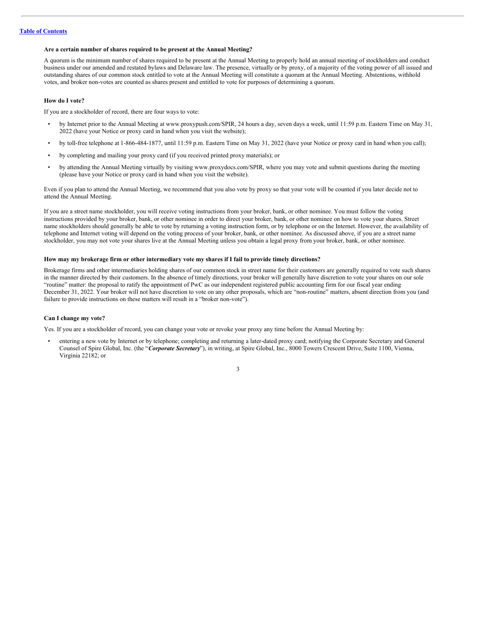## **Are a certain number of shares required to be present at the Annual Meeting?**

A quorum is the minimum number of shares required to be present at the Annual Meeting to properly hold an annual meeting of stockholders and conduct business under our amended and restated bylaws and Delaware law. The presence, virtually or by proxy, of a majority of the voting power of all issued and outstanding shares of our common stock entitled to vote at the Annual Meeting will constitute a quorum at the Annual Meeting. Abstentions, withhold votes, and broker non-votes are counted as shares present and entitled to vote for purposes of determining a quorum.

#### **How do I vote?**

If you are a stockholder of record, there are four ways to vote:

- by Internet prior to the Annual Meeting at www.proxypush.com/SPIR, 24 hours a day, seven days a week, until 11:59 p.m. Eastern Time on May 31, 2022 (have your Notice or proxy card in hand when you visit the website);
- by toll-free telephone at 1-866-484-1877, until 11:59 p.m. Eastern Time on May 31, 2022 (have your Notice or proxy card in hand when you call);
- by completing and mailing your proxy card (if you received printed proxy materials); or
- by attending the Annual Meeting virtually by visiting www.proxydocs.com/SPIR, where you may vote and submit questions during the meeting (please have your Notice or proxy card in hand when you visit the website).

Even if you plan to attend the Annual Meeting, we recommend that you also vote by proxy so that your vote will be counted if you later decide not to attend the Annual Meeting.

If you are a street name stockholder, you will receive voting instructions from your broker, bank, or other nominee. You must follow the voting instructions provided by your broker, bank, or other nominee in order to direct your broker, bank, or other nominee on how to vote your shares. Street name stockholders should generally be able to vote by returning a voting instruction form, or by telephone or on the Internet. However, the availability of telephone and Internet voting will depend on the voting process of your broker, bank, or other nominee. As discussed above, if you are a street name stockholder, you may not vote your shares live at the Annual Meeting unless you obtain a legal proxy from your broker, bank, or other nominee.

## How may my brokerage firm or other intermediary vote my shares if I fail to provide timely directions?

Brokerage firms and other intermediaries holding shares of our common stock in street name for their customers are generally required to vote such shares in the manner directed by their customers. In the absence of timely directions, your broker will generally have discretion to vote your shares on our sole "routine" matter: the proposal to ratify the appointment of PwC as our independent registered public accounting firm for our fiscal year ending December 31, 2022. Your broker will not have discretion to vote on any other proposals, which are "non-routine" matters, absent direction from you (and failure to provide instructions on these matters will result in a "broker non-vote").

#### **Can I change my vote?**

Yes. If you are a stockholder of record, you can change your vote or revoke your proxy any time before the Annual Meeting by:

• entering a new vote by Internet or by telephone; completing and returning a later-dated proxy card; notifying the Corporate Secretary and General Counsel of Spire Global, Inc. (the "*Corporate Secretary*"), in writing, at Spire Global, Inc., 8000 Towers Crescent Drive, Suite 1100, Vienna, Virginia 22182; or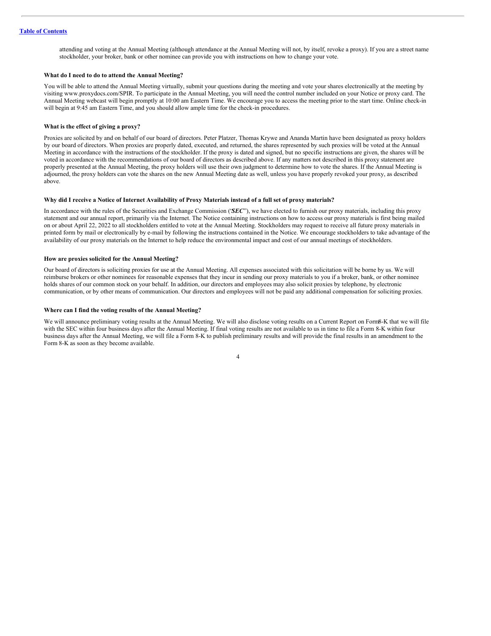attending and voting at the Annual Meeting (although attendance at the Annual Meeting will not, by itself, revoke a proxy). If you are a street name stockholder, your broker, bank or other nominee can provide you with instructions on how to change your vote.

## **What do I need to do to attend the Annual Meeting?**

You will be able to attend the Annual Meeting virtually, submit your questions during the meeting and vote your shares electronically at the meeting by visiting www.proxydocs.com/SPIR. To participate in the Annual Meeting, you will need the control number included on your Notice or proxy card. The Annual Meeting webcast will begin promptly at 10:00 am Eastern Time. We encourage you to access the meeting prior to the start time. Online check-in will begin at 9:45 am Eastern Time, and you should allow ample time for the check-in procedures.

## **What is the effect of giving a proxy?**

Proxies are solicited by and on behalf of our board of directors. Peter Platzer, Thomas Krywe and Ananda Martin have been designated as proxy holders by our board of directors. When proxies are properly dated, executed, and returned, the shares represented by such proxies will be voted at the Annual Meeting in accordance with the instructions of the stockholder. If the proxy is dated and signed, but no specific instructions are given, the shares will be voted in accordance with the recommendations of our board of directors as described above. If any matters not described in this proxy statement are properly presented at the Annual Meeting, the proxy holders will use their own judgment to determine how to vote the shares. If the Annual Meeting is adjourned, the proxy holders can vote the shares on the new Annual Meeting date as well, unless you have properly revoked your proxy, as described above.

## Why did I receive a Notice of Internet Availability of Proxy Materials instead of a full set of proxy materials?

In accordance with the rules of the Securities and Exchange Commission ("*SEC*"), we have elected to furnish our proxy materials, including this proxy statement and our annual report, primarily via the Internet. The Notice containing instructions on how to access our proxy materials is first being mailed on or about April 22, 2022 to all stockholders entitled to vote at the Annual Meeting. Stockholders may request to receive all future proxy materials in printed form by mail or electronically by e-mail by following the instructions contained in the Notice. We encourage stockholders to take advantage of the availability of our proxy materials on the Internet to help reduce the environmental impact and cost of our annual meetings of stockholders.

#### **How are proxies solicited for the Annual Meeting?**

Our board of directors is soliciting proxies for use at the Annual Meeting. All expenses associated with this solicitation will be borne by us. We will reimburse brokers or other nominees for reasonable expenses that they incur in sending our proxy materials to you if a broker, bank, or other nominee holds shares of our common stock on your behalf. In addition, our directors and employees may also solicit proxies by telephone, by electronic communication, or by other means of communication. Our directors and employees will not be paid any additional compensation for soliciting proxies.

#### **Where can I find the voting results of the Annual Meeting?**

We will announce preliminary voting results at the Annual Meeting. We will also disclose voting results on a Current Report on Form8-K that we will file with the SEC within four business days after the Annual Meeting. If final voting results are not available to us in time to file a Form 8-K within four business days after the Annual Meeting, we will file a Form 8-K to publish preliminary results and will provide the final results in an amendment to the Form 8-K as soon as they become available.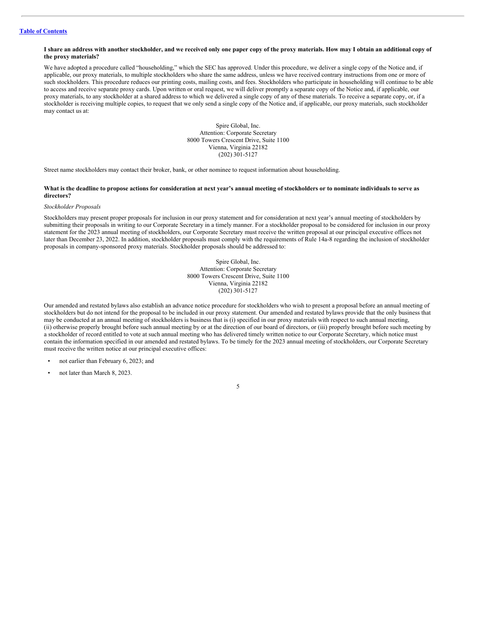## I share an address with another stockholder, and we received only one paper copy of the proxy materials. How may I obtain an additional copy of **the proxy materials?**

We have adopted a procedure called "householding," which the SEC has approved. Under this procedure, we deliver a single copy of the Notice and, if applicable, our proxy materials, to multiple stockholders who share the same address, unless we have received contrary instructions from one or more of such stockholders. This procedure reduces our printing costs, mailing costs, and fees. Stockholders who participate in householding will continue to be able to access and receive separate proxy cards. Upon written or oral request, we will deliver promptly a separate copy of the Notice and, if applicable, our proxy materials, to any stockholder at a shared address to which we delivered a single copy of any of these materials. To receive a separate copy, or, if a stockholder is receiving multiple copies, to request that we only send a single copy of the Notice and, if applicable, our proxy materials, such stockholder may contact us at:

> Spire Global, Inc. Attention: Corporate Secretary 8000 Towers Crescent Drive, Suite 1100 Vienna, Virginia 22182 (202) 301-5127

Street name stockholders may contact their broker, bank, or other nominee to request information about householding.

### What is the deadline to propose actions for consideration at next year's annual meeting of stockholders or to nominate individuals to serve as **directors?**

#### *Stockholder Proposals*

Stockholders may present proper proposals for inclusion in our proxy statement and for consideration at next year's annual meeting of stockholders by submitting their proposals in writing to our Corporate Secretary in a timely manner. For a stockholder proposal to be considered for inclusion in our proxy statement for the 2023 annual meeting of stockholders, our Corporate Secretary must receive the written proposal at our principal executive offices not later than December 23, 2022. In addition, stockholder proposals must comply with the requirements of Rule 14a-8 regarding the inclusion of stockholder proposals in company-sponsored proxy materials. Stockholder proposals should be addressed to:

> Spire Global, Inc. Attention: Corporate Secretary 8000 Towers Crescent Drive, Suite 1100 Vienna, Virginia 22182 (202) 301-5127

Our amended and restated bylaws also establish an advance notice procedure for stockholders who wish to present a proposal before an annual meeting of stockholders but do not intend for the proposal to be included in our proxy statement. Our amended and restated bylaws provide that the only business that may be conducted at an annual meeting of stockholders is business that is (i) specified in our proxy materials with respect to such annual meeting, (ii) otherwise properly brought before such annual meeting by or at the direction of our board of directors, or (iii) properly brought before such meeting by a stockholder of record entitled to vote at such annual meeting who has delivered timely written notice to our Corporate Secretary, which notice must contain the information specified in our amended and restated bylaws. To be timely for the 2023 annual meeting of stockholders, our Corporate Secretary must receive the written notice at our principal executive offices:

- not earlier than February 6, 2023; and
- not later than March 8, 2023.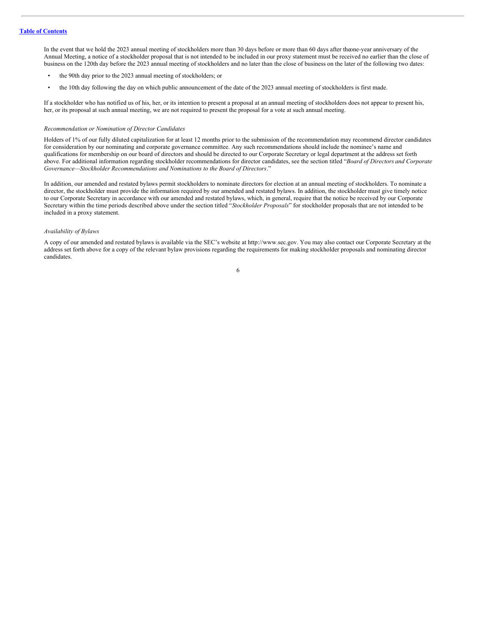In the event that we hold the 2023 annual meeting of stockholders more than 30 days before or more than 60 days after theone-year anniversary of the Annual Meeting, a notice of a stockholder proposal that is not intended to be included in our proxy statement must be received no earlier than the close of business on the 120th day before the 2023 annual meeting of stockholders and no later than the close of business on the later of the following two dates:

- the 90th day prior to the 2023 annual meeting of stockholders; or
- the 10th day following the day on which public announcement of the date of the 2023 annual meeting of stockholders is first made.

If a stockholder who has notified us of his, her, or its intention to present a proposal at an annual meeting of stockholders does not appear to present his, her, or its proposal at such annual meeting, we are not required to present the proposal for a vote at such annual meeting.

#### *Recommendation or Nomination of Director Candidates*

Holders of 1% of our fully diluted capitalization for at least 12 months prior to the submission of the recommendation may recommend director candidates for consideration by our nominating and corporate governance committee. Any such recommendations should include the nominee's name and qualifications for membership on our board of directors and should be directed to our Corporate Secretary or legal department at the address set forth above. For additional information regarding stockholder recommendations for director candidates, see the section titled "*Board of Directors and Corporate Governance—Stockholder Recommendations and Nominations to the Board of Directors*."

In addition, our amended and restated bylaws permit stockholders to nominate directors for election at an annual meeting of stockholders. To nominate a director, the stockholder must provide the information required by our amended and restated bylaws. In addition, the stockholder must give timely notice to our Corporate Secretary in accordance with our amended and restated bylaws, which, in general, require that the notice be received by our Corporate Secretary within the time periods described above under the section titled "*Stockholder Proposals*" for stockholder proposals that are not intended to be included in a proxy statement.

## *Availability of Bylaws*

A copy of our amended and restated bylaws is available via the SEC's website at http://www.sec.gov. You may also contact our Corporate Secretary at the address set forth above for a copy of the relevant bylaw provisions regarding the requirements for making stockholder proposals and nominating director candidates.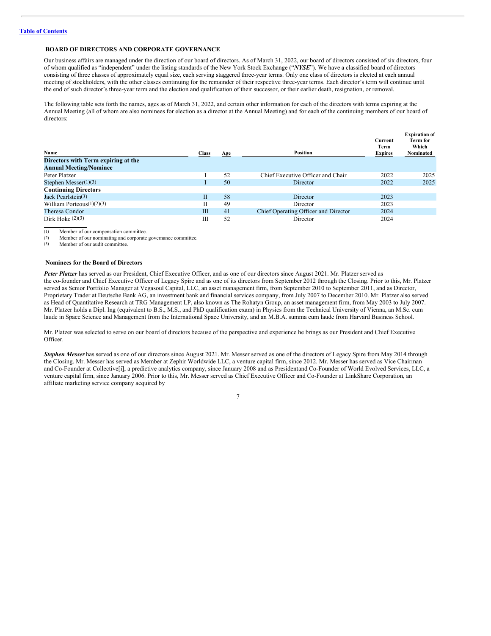## <span id="page-10-0"></span>**BOARD OF DIRECTORS AND CORPORATE GOVERNANCE**

Our business affairs are managed under the direction of our board of directors. As of March 31, 2022, our board of directors consisted of six directors, four of whom qualified as "independent" under the listing standards of the New York Stock Exchange ("*NYSE*"). We have a classified board of directors consisting of three classes of approximately equal size, each serving staggered three-year terms. Only one class of directors is elected at each annual meeting of stockholders, with the other classes continuing for the remainder of their respective three-year terms. Each director's term will continue until the end of such director's three-year term and the election and qualification of their successor, or their earlier death, resignation, or removal.

The following table sets forth the names, ages as of March 31, 2022, and certain other information for each of the directors with terms expiring at the Annual Meeting (all of whom are also nominees for election as a director at the Annual Meeting) and for each of the continuing members of our board of directors:

| Name<br>Directors with Term expiring at the<br><b>Annual Meeting/Nominee</b> | <b>Class</b> | Age | Position                             | Current<br>Term<br><b>Expires</b> | <b>Expiration of</b><br>Term for<br>Which<br>Nominated |
|------------------------------------------------------------------------------|--------------|-----|--------------------------------------|-----------------------------------|--------------------------------------------------------|
| Peter Platzer                                                                |              | 52  | Chief Executive Officer and Chair    | 2022                              | 2025                                                   |
| Stephen Messer $(1)(3)$                                                      |              | 50  | Director                             | 2022                              | 2025                                                   |
| <b>Continuing Directors</b>                                                  |              |     |                                      |                                   |                                                        |
| Jack Pearlstein $(3)$                                                        | $\mathbf{I}$ | 58  | Director                             | 2023                              |                                                        |
| William Porteous $(1)(2)(3)$                                                 |              | 49  | Director                             | 2023                              |                                                        |
| Theresa Condor                                                               | Ш            | 41  | Chief Operating Officer and Director | 2024                              |                                                        |
| Dirk Hoke $(2)(3)$                                                           | Ш            | 52  | Director                             | 2024                              |                                                        |

(1) Member of our compensation committee.<br>(2) Member of our nominating and corporate

Member of our nominating and corporate governance committee.

(3) Member of our audit committee.

## <span id="page-10-1"></span>**Nominees for the Board of Directors**

*Peter Platzer* has served as our President, Chief Executive Officer, and as one of our directors since August 2021. Mr. Platzer served as the co-founder and Chief Executive Officer of Legacy Spire and as one of its directors from September 2012 through the Closing. Prior to this, Mr. Platzer served as Senior Portfolio Manager at Vegasoul Capital, LLC, an asset management firm, from September 2010 to September 2011, and as Director, Proprietary Trader at Deutsche Bank AG, an investment bank and financial services company, from July 2007 to December 2010. Mr. Platzer also served as Head of Quantitative Research at TRG Management LP, also known as The Rohatyn Group, an asset management firm, from May 2003 to July 2007. Mr. Platzer holds a Dipl. Ing (equivalent to B.S., M.S., and PhD qualification exam) in Physics from the Technical University of Vienna, an M.Sc. cum laude in Space Science and Management from the International Space University, and an M.B.A. summa cum laude from Harvard Business School.

Mr. Platzer was selected to serve on our board of directors because of the perspective and experience he brings as our President and Chief Executive Officer.

*Stephen Messer* has served as one of our directors since August 2021. Mr. Messer served as one of the directors of Legacy Spire from May 2014 through the Closing. Mr. Messer has served as Member at Zephir Worldwide LLC, a venture capital firm, since 2012. Mr. Messer has served as Vice Chairman and Co-Founder at Collective[i], a predictive analytics company, since January 2008 and as Presidentand Co-Founder of World Evolved Services, LLC, a venture capital firm, since January 2006. Prior to this, Mr. Messer served as Chief Executive Officer and Co-Founder at LinkShare Corporation, an affiliate marketing service company acquired by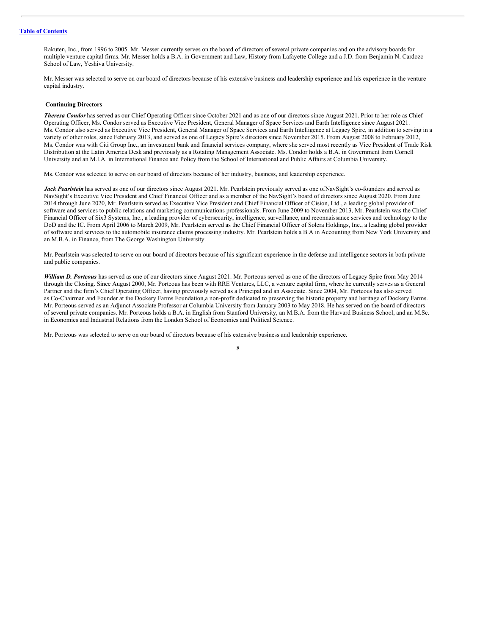Rakuten, Inc., from 1996 to 2005. Mr. Messer currently serves on the board of directors of several private companies and on the advisory boards for multiple venture capital firms. Mr. Messer holds a B.A. in Government and Law, History from Lafayette College and a J.D. from Benjamin N. Cardozo School of Law, Yeshiva University.

Mr. Messer was selected to serve on our board of directors because of his extensive business and leadership experience and his experience in the venture capital industry.

## <span id="page-11-0"></span>**Continuing Directors**

*Theresa Condor* has served as our Chief Operating Officer since October 2021 and as one of our directors since August 2021. Prior to her role as Chief Operating Officer, Ms. Condor served as Executive Vice President, General Manager of Space Services and Earth Intelligence since August 2021. Ms. Condor also served as Executive Vice President, General Manager of Space Services and Earth Intelligence at Legacy Spire, in addition to serving in a variety of other roles, since February 2013, and served as one of Legacy Spire's directors since November 2015. From August 2008 to February 2012, Ms. Condor was with Citi Group Inc., an investment bank and financial services company, where she served most recently as Vice President of Trade Risk Distribution at the Latin America Desk and previously as a Rotating Management Associate. Ms. Condor holds a B.A. in Government from Cornell University and an M.I.A. in International Finance and Policy from the School of International and Public Affairs at Columbia University.

Ms. Condor was selected to serve on our board of directors because of her industry, business, and leadership experience.

Jack Pearlstein has served as one of our directors since August 2021. Mr. Pearlstein previously served as one ofNavSight's co-founders and served as NavSight's Executive Vice President and Chief Financial Officer and as a member of the NavSight's board of directors since August 2020. From June 2014 through June 2020, Mr. Pearlstein served as Executive Vice President and Chief Financial Officer of Cision, Ltd., a leading global provider of software and services to public relations and marketing communications professionals. From June 2009 to November 2013, Mr. Pearlstein was the Chief Financial Officer of Six3 Systems, Inc., a leading provider of cybersecurity, intelligence, surveillance, and reconnaissance services and technology to the DoD and the IC. From April 2006 to March 2009, Mr. Pearlstein served as the Chief Financial Officer of Solera Holdings, Inc., a leading global provider of software and services to the automobile insurance claims processing industry. Mr. Pearlstein holds a B.A in Accounting from New York University and an M.B.A. in Finance, from The George Washington University.

Mr. Pearlstein was selected to serve on our board of directors because of his significant experience in the defense and intelligence sectors in both private and public companies.

*William D. Porteous* has served as one of our directors since August 2021. Mr. Porteous served as one of the directors of Legacy Spire from May 2014 through the Closing. Since August 2000, Mr. Porteous has been with RRE Ventures, LLC, a venture capital firm, where he currently serves as a General Partner and the firm's Chief Operating Officer, having previously served as a Principal and an Associate. Since 2004, Mr. Porteous has also served as Co-Chairman and Founder at the Dockery Farms Foundation,a non-profit dedicated to preserving the historic property and heritage of Dockery Farms. Mr. Porteous served as an Adjunct Associate Professor at Columbia University from January 2003 to May 2018. He has served on the board of directors of several private companies. Mr. Porteous holds a B.A. in English from Stanford University, an M.B.A. from the Harvard Business School, and an M.Sc. in Economics and Industrial Relations from the London School of Economics and Political Science.

Mr. Porteous was selected to serve on our board of directors because of his extensive business and leadership experience.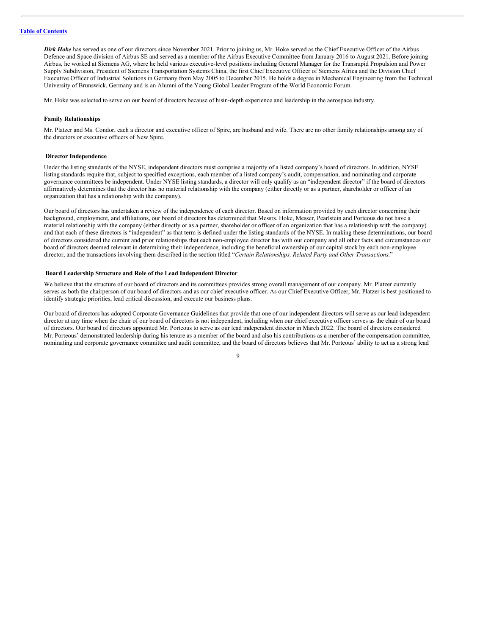*Dirk Hoke* has served as one of our directors since November 2021. Prior to joining us, Mr. Hoke served as the Chief Executive Officer of the Airbus Defence and Space division of Airbus SE and served as a member of the Airbus Executive Committee from January 2016 to August 2021. Before joining Airbus, he worked at Siemens AG, where he held various executive-level positions including General Manager for the Transrapid Propulsion and Power Supply Subdivision, President of Siemens Transportation Systems China, the first Chief Executive Officer of Siemens Africa and the Division Chief Executive Officer of Industrial Solutions in Germany from May 2005 to December 2015. He holds a degree in Mechanical Engineering from the Technical University of Brunswick, Germany and is an Alumni of the Young Global Leader Program of the World Economic Forum.

Mr. Hoke was selected to serve on our board of directors because of hisin-depth experience and leadership in the aerospace industry.

#### **Family Relationships**

Mr. Platzer and Ms. Condor, each a director and executive officer of Spire, are husband and wife. There are no other family relationships among any of the directors or executive officers of New Spire.

#### <span id="page-12-0"></span>**Director Independence**

Under the listing standards of the NYSE, independent directors must comprise a majority of a listed company's board of directors. In addition, NYSE listing standards require that, subject to specified exceptions, each member of a listed company's audit, compensation, and nominating and corporate governance committees be independent. Under NYSE listing standards, a director will only qualify as an "independent director" if the board of directors affirmatively determines that the director has no material relationship with the company (either directly or as a partner, shareholder or officer of an organization that has a relationship with the company).

Our board of directors has undertaken a review of the independence of each director. Based on information provided by each director concerning their background, employment, and affiliations, our board of directors has determined that Messrs. Hoke, Messer, Pearlstein and Porteous do not have a material relationship with the company (either directly or as a partner, shareholder or officer of an organization that has a relationship with the company) and that each of these directors is "independent" as that term is defined under the listing standards of the NYSE. In making these determinations, our board of directors considered the current and prior relationships that each non-employee director has with our company and all other facts and circumstances our board of directors deemed relevant in determining their independence, including the beneficial ownership of our capital stock by each non-employee director, and the transactions involving them described in the section titled "*Certain Relationships, Related Party and Other Transactions*."

## <span id="page-12-1"></span>**Board Leadership Structure and Role of the Lead Independent Director**

We believe that the structure of our board of directors and its committees provides strong overall management of our company. Mr. Platzer currently serves as both the chairperson of our board of directors and as our chief executive officer. As our Chief Executive Officer, Mr. Platzer is best positioned to identify strategic priorities, lead critical discussion, and execute our business plans.

Our board of directors has adopted Corporate Governance Guidelines that provide that one of our independent directors will serve as our lead independent director at any time when the chair of our board of directors is not independent, including when our chief executive officer serves as the chair of our board of directors. Our board of directors appointed Mr. Porteous to serve as our lead independent director in March 2022. The board of directors considered Mr. Porteous' demonstrated leadership during his tenure as a member of the board and also his contributions as a member of the compensation committee, nominating and corporate governance committee and audit committee, and the board of directors believes that Mr. Porteous' ability to act as a strong lead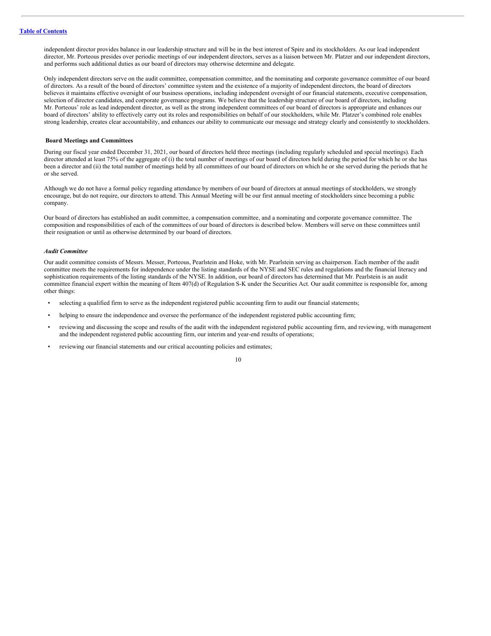independent director provides balance in our leadership structure and will be in the best interest of Spire and its stockholders. As our lead independent director, Mr. Porteous presides over periodic meetings of our independent directors, serves as a liaison between Mr. Platzer and our independent directors, and performs such additional duties as our board of directors may otherwise determine and delegate.

Only independent directors serve on the audit committee, compensation committee, and the nominating and corporate governance committee of our board of directors. As a result of the board of directors' committee system and the existence of a majority of independent directors, the board of directors believes it maintains effective oversight of our business operations, including independent oversight of our financial statements, executive compensation, selection of director candidates, and corporate governance programs. We believe that the leadership structure of our board of directors, including Mr. Porteous' role as lead independent director, as well as the strong independent committees of our board of directors is appropriate and enhances our board of directors' ability to effectively carry out its roles and responsibilities on behalf of our stockholders, while Mr. Platzer's combined role enables strong leadership, creates clear accountability, and enhances our ability to communicate our message and strategy clearly and consistently to stockholders.

## <span id="page-13-0"></span>**Board Meetings and Committees**

During our fiscal year ended December 31, 2021, our board of directors held three meetings (including regularly scheduled and special meetings). Each director attended at least 75% of the aggregate of (i) the total number of meetings of our board of directors held during the period for which he or she has been a director and (ii) the total number of meetings held by all committees of our board of directors on which he or she served during the periods that he or she served.

Although we do not have a formal policy regarding attendance by members of our board of directors at annual meetings of stockholders, we strongly encourage, but do not require, our directors to attend. This Annual Meeting will be our first annual meeting of stockholders since becoming a public company.

Our board of directors has established an audit committee, a compensation committee, and a nominating and corporate governance committee. The composition and responsibilities of each of the committees of our board of directors is described below. Members will serve on these committees until their resignation or until as otherwise determined by our board of directors.

## *Audit Committee*

Our audit committee consists of Messrs. Messer, Porteous, Pearlstein and Hoke, with Mr. Pearlstein serving as chairperson. Each member of the audit committee meets the requirements for independence under the listing standards of the NYSE and SEC rules and regulations and the financial literacy and sophistication requirements of the listing standards of the NYSE. In addition, our board of directors has determined that Mr. Pearlstein is an audit committee financial expert within the meaning of Item 407(d) of Regulation S-K under the Securities Act. Our audit committee is responsible for, among other things:

- selecting a qualified firm to serve as the independent registered public accounting firm to audit our financial statements;
- helping to ensure the independence and oversee the performance of the independent registered public accounting firm;
- reviewing and discussing the scope and results of the audit with the independent registered public accounting firm, and reviewing, with management and the independent registered public accounting firm, our interim and year-end results of operations;
- reviewing our financial statements and our critical accounting policies and estimates;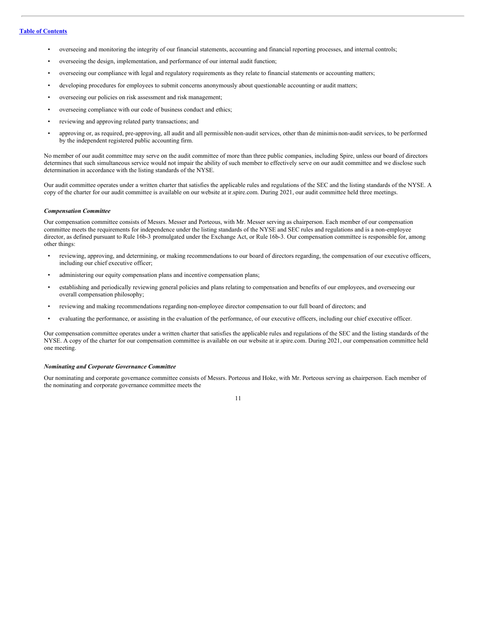- overseeing and monitoring the integrity of our financial statements, accounting and financial reporting processes, and internal controls;
- overseeing the design, implementation, and performance of our internal audit function;
- overseeing our compliance with legal and regulatory requirements as they relate to financial statements or accounting matters;
- developing procedures for employees to submit concerns anonymously about questionable accounting or audit matters;
- overseeing our policies on risk assessment and risk management;
- overseeing compliance with our code of business conduct and ethics;
- reviewing and approving related party transactions; and
- approving or, as required, pre-approving, all audit and all permissible non-audit services, other than de minimis non-audit services, to be performed by the independent registered public accounting firm.

No member of our audit committee may serve on the audit committee of more than three public companies, including Spire, unless our board of directors determines that such simultaneous service would not impair the ability of such member to effectively serve on our audit committee and we disclose such determination in accordance with the listing standards of the NYSE.

Our audit committee operates under a written charter that satisfies the applicable rules and regulations of the SEC and the listing standards of the NYSE. A copy of the charter for our audit committee is available on our website at ir.spire.com. During 2021, our audit committee held three meetings.

## *Compensation Committee*

Our compensation committee consists of Messrs. Messer and Porteous, with Mr. Messer serving as chairperson. Each member of our compensation committee meets the requirements for independence under the listing standards of the NYSE and SEC rules and regulations and is a non-employee director, as defined pursuant to Rule 16b-3 promulgated under the Exchange Act, or Rule 16b-3. Our compensation committee is responsible for, among other things:

- reviewing, approving, and determining, or making recommendations to our board of directors regarding, the compensation of our executive officers, including our chief executive officer;
- administering our equity compensation plans and incentive compensation plans;
- establishing and periodically reviewing general policies and plans relating to compensation and benefits of our employees, and overseeing our overall compensation philosophy;
- reviewing and making recommendations regarding non-employee director compensation to our full board of directors; and
- evaluating the performance, or assisting in the evaluation of the performance, of our executive officers, including our chief executive officer.

Our compensation committee operates under a written charter that satisfies the applicable rules and regulations of the SEC and the listing standards of the NYSE. A copy of the charter for our compensation committee is available on our website at ir.spire.com. During 2021, our compensation committee held one meeting.

## *Nominating and Corporate Governance Committee*

Our nominating and corporate governance committee consists of Messrs. Porteous and Hoke, with Mr. Porteous serving as chairperson. Each member of the nominating and corporate governance committee meets the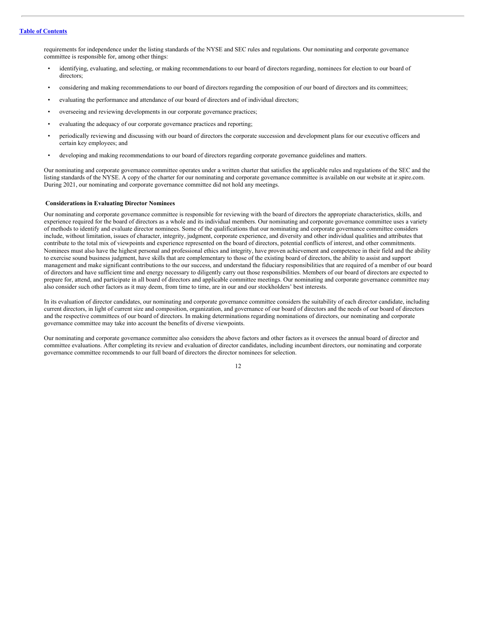requirements for independence under the listing standards of the NYSE and SEC rules and regulations. Our nominating and corporate governance committee is responsible for, among other things:

- identifying, evaluating, and selecting, or making recommendations to our board of directors regarding, nominees for election to our board of directors;
- considering and making recommendations to our board of directors regarding the composition of our board of directors and its committees;
- evaluating the performance and attendance of our board of directors and of individual directors;
- overseeing and reviewing developments in our corporate governance practices;
- evaluating the adequacy of our corporate governance practices and reporting;
- periodically reviewing and discussing with our board of directors the corporate succession and development plans for our executive officers and certain key employees; and
- developing and making recommendations to our board of directors regarding corporate governance guidelines and matters.

Our nominating and corporate governance committee operates under a written charter that satisfies the applicable rules and regulations of the SEC and the listing standards of the NYSE. A copy of the charter for our nominating and corporate governance committee is available on our website at ir.spire.com. During 2021, our nominating and corporate governance committee did not hold any meetings.

## <span id="page-15-0"></span>**Considerations in Evaluating Director Nominees**

Our nominating and corporate governance committee is responsible for reviewing with the board of directors the appropriate characteristics, skills, and experience required for the board of directors as a whole and its individual members. Our nominating and corporate governance committee uses a variety of methods to identify and evaluate director nominees. Some of the qualifications that our nominating and corporate governance committee considers include, without limitation, issues of character, integrity, judgment, corporate experience, and diversity and other individual qualities and attributes that contribute to the total mix of viewpoints and experience represented on the board of directors, potential conflicts of interest, and other commitments. Nominees must also have the highest personal and professional ethics and integrity, have proven achievement and competence in their field and the ability to exercise sound business judgment, have skills that are complementary to those of the existing board of directors, the ability to assist and support management and make significant contributions to the our success, and understand the fiduciary responsibilities that are required of a member of our board of directors and have sufficient time and energy necessary to diligently carry out those responsibilities. Members of our board of directors are expected to prepare for, attend, and participate in all board of directors and applicable committee meetings. Our nominating and corporate governance committee may also consider such other factors as it may deem, from time to time, are in our and our stockholders' best interests.

In its evaluation of director candidates, our nominating and corporate governance committee considers the suitability of each director candidate, including current directors, in light of current size and composition, organization, and governance of our board of directors and the needs of our board of directors and the respective committees of our board of directors. In making determinations regarding nominations of directors, our nominating and corporate governance committee may take into account the benefits of diverse viewpoints.

Our nominating and corporate governance committee also considers the above factors and other factors as it oversees the annual board of director and committee evaluations. After completing its review and evaluation of director candidates, including incumbent directors, our nominating and corporate governance committee recommends to our full board of directors the director nominees for selection.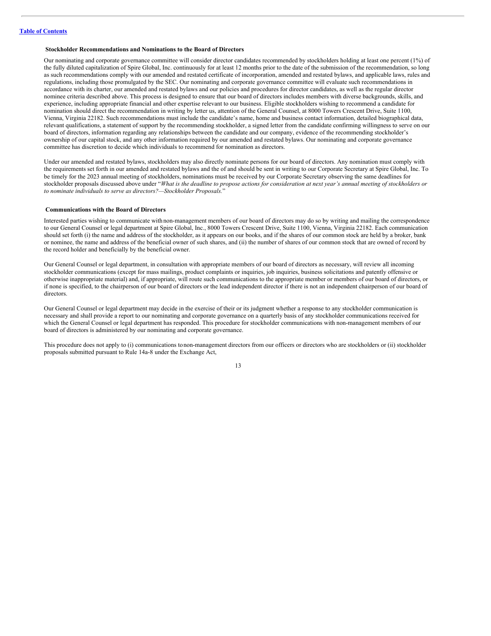## <span id="page-16-0"></span>**Stockholder Recommendations and Nominations to the Board of Directors**

Our nominating and corporate governance committee will consider director candidates recommended by stockholders holding at least one percent (1%) of the fully diluted capitalization of Spire Global, Inc. continuously for at least 12 months prior to the date of the submission of the recommendation, so long as such recommendations comply with our amended and restated certificate of incorporation, amended and restated bylaws, and applicable laws, rules and regulations, including those promulgated by the SEC. Our nominating and corporate governance committee will evaluate such recommendations in accordance with its charter, our amended and restated bylaws and our policies and procedures for director candidates, as well as the regular director nominee criteria described above. This process is designed to ensure that our board of directors includes members with diverse backgrounds, skills, and experience, including appropriate financial and other expertise relevant to our business. Eligible stockholders wishing to recommend a candidate for nomination should direct the recommendation in writing by letter us, attention of the General Counsel, at 8000 Towers Crescent Drive, Suite 1100, Vienna, Virginia 22182. Such recommendations must include the candidate's name, home and business contact information, detailed biographical data, relevant qualifications, a statement of support by the recommending stockholder, a signed letter from the candidate confirming willingness to serve on our board of directors, information regarding any relationships between the candidate and our company, evidence of the recommending stockholder's ownership of our capital stock, and any other information required by our amended and restated bylaws. Our nominating and corporate governance committee has discretion to decide which individuals to recommend for nomination as directors.

Under our amended and restated bylaws, stockholders may also directly nominate persons for our board of directors. Any nomination must comply with the requirements set forth in our amended and restated bylaws and the of and should be sent in writing to our Corporate Secretary at Spire Global, Inc. To be timely for the 2023 annual meeting of stockholders, nominations must be received by our Corporate Secretary observing the same deadlines for stockholder proposals discussed above under "What is the deadline to propose actions for consideration at next year's annual meeting of stockholders or *to nominate individuals to serve as directors?—Stockholder Proposals.*"

## <span id="page-16-1"></span>**Communications with the Board of Directors**

Interested parties wishing to communicate with non-management members of our board of directors may do so by writing and mailing the correspondence to our General Counsel or legal department at Spire Global, Inc., 8000 Towers Crescent Drive, Suite 1100, Vienna, Virginia 22182. Each communication should set forth (i) the name and address of the stockholder, as it appears on our books, and if the shares of our common stock are held by a broker, bank or nominee, the name and address of the beneficial owner of such shares, and (ii) the number of shares of our common stock that are owned of record by the record holder and beneficially by the beneficial owner.

Our General Counsel or legal department, in consultation with appropriate members of our board of directors as necessary, will review all incoming stockholder communications (except for mass mailings, product complaints or inquiries, job inquiries, business solicitations and patently offensive or otherwise inappropriate material) and, if appropriate, will route such communications to the appropriate member or members of our board of directors, or if none is specified, to the chairperson of our board of directors or the lead independent director if there is not an independent chairperson of our board of directors.

Our General Counsel or legal department may decide in the exercise of their or its judgment whether a response to any stockholder communication is necessary and shall provide a report to our nominating and corporate governance on a quarterly basis of any stockholder communications received for which the General Counsel or legal department has responded. This procedure for stockholder communications with non-management members of our board of directors is administered by our nominating and corporate governance.

This procedure does not apply to (i) communications tonon-management directors from our officers or directors who are stockholders or (ii) stockholder proposals submitted pursuant to Rule 14a-8 under the Exchange Act,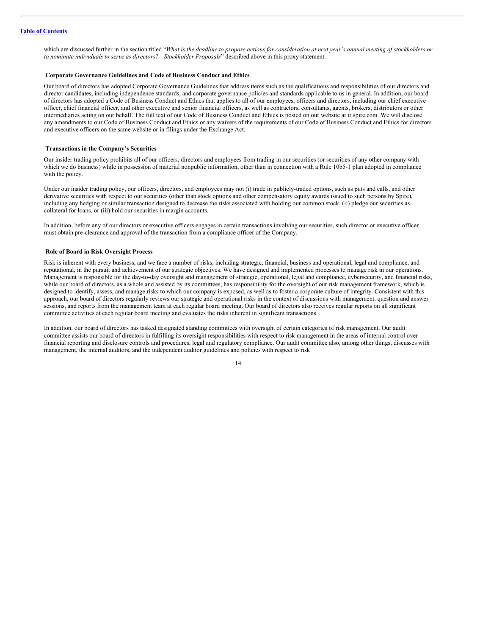which are discussed further in the section titled "What is the deadline to propose actions for consideration at next year's annual meeting of stockholders or *to nominate individuals to serve as directors?—Stockholder Proposals*" described above in this proxy statement.

## <span id="page-17-0"></span>**Corporate Governance Guidelines and Code of Business Conduct and Ethics**

Our board of directors has adopted Corporate Governance Guidelines that address items such as the qualifications and responsibilities of our directors and director candidates, including independence standards, and corporate governance policies and standards applicable to us in general. In addition, our board of directors has adopted a Code of Business Conduct and Ethics that applies to all of our employees, officers and directors, including our chief executive officer, chief financial officer, and other executive and senior financial officers, as well as contractors, consultants, agents, brokers, distributors or other intermediaries acting on our behalf. The full text of our Code of Business Conduct and Ethics is posted on our website at ir.spire.com. We will disclose any amendments to our Code of Business Conduct and Ethics or any waivers of the requirements of our Code of Business Conduct and Ethics for directors and executive officers on the same website or in filings under the Exchange Act.

#### <span id="page-17-1"></span>**Transactions in the Company's Securities**

Our insider trading policy prohibits all of our officers, directors and employees from trading in our securities (or securities of any other company with which we do business) while in possession of material nonpublic information, other than in connection with a Rule 10b5-1 plan adopted in compliance with the policy.

Under our insider trading policy, our officers, directors, and employees may not (i) trade in publicly-traded options, such as puts and calls, and other derivative securities with respect to our securities (other than stock options and other compensatory equity awards issued to such persons by Spire), including any hedging or similar transaction designed to decrease the risks associated with holding our common stock, (ii) pledge our securities as collateral for loans, or (iii) hold our securities in margin accounts.

In addition, before any of our directors or executive officers engages in certain transactions involving our securities, such director or executive officer must obtain pre-clearance and approval of the transaction from a compliance officer of the Company.

## <span id="page-17-2"></span>**Role of Board in Risk Oversight Process**

Risk is inherent with every business, and we face a number of risks, including strategic, financial, business and operational, legal and compliance, and reputational, in the pursuit and achievement of our strategic objectives. We have designed and implemented processes to manage risk in our operations. Management is responsible for the day-to-day oversight and management of strategic, operational, legal and compliance, cybersecurity, and financial risks, while our board of directors, as a whole and assisted by its committees, has responsibility for the oversight of our risk management framework, which is designed to identify, assess, and manage risks to which our company is exposed, as well as to foster a corporate culture of integrity. Consistent with this approach, our board of directors regularly reviews our strategic and operational risks in the context of discussions with management, question and answer sessions, and reports from the management team at each regular board meeting. Our board of directors also receives regular reports on all significant committee activities at each regular board meeting and evaluates the risks inherent in significant transactions.

In addition, our board of directors has tasked designated standing committees with oversight of certain categories of risk management. Our audit committee assists our board of directors in fulfilling its oversight responsibilities with respect to risk management in the areas of internal control over financial reporting and disclosure controls and procedures, legal and regulatory compliance. Our audit committee also, among other things, discusses with management, the internal auditors, and the independent auditor guidelines and policies with respect to risk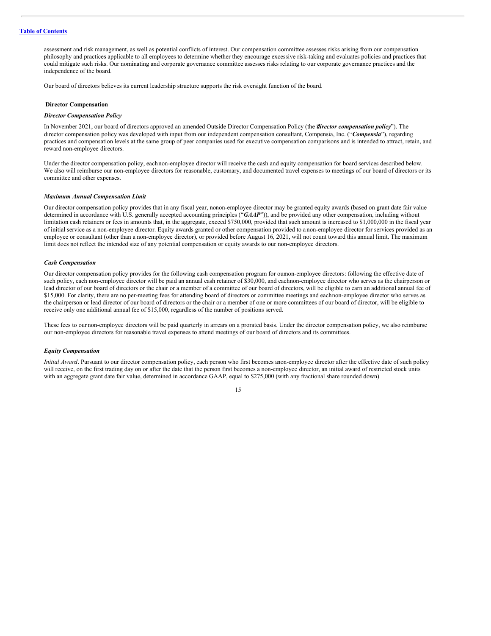assessment and risk management, as well as potential conflicts of interest. Our compensation committee assesses risks arising from our compensation philosophy and practices applicable to all employees to determine whether they encourage excessive risk-taking and evaluates policies and practices that could mitigate such risks. Our nominating and corporate governance committee assesses risks relating to our corporate governance practices and the independence of the board.

Our board of directors believes its current leadership structure supports the risk oversight function of the board.

#### <span id="page-18-0"></span>**Director Compensation**

#### *Director Compensation Policy*

In November 2021, our board of directors approved an amended Outside Director Compensation Policy (the "*director compensation policy*"). The director compensation policy was developed with input from our independent compensation consultant, Compensia, Inc. ("Compensia"), regarding practices and compensation levels at the same group of peer companies used for executive compensation comparisons and is intended to attract, retain, and reward non-employee directors.

Under the director compensation policy, eachnon-employee director will receive the cash and equity compensation for board services described below. We also will reimburse our non-employee directors for reasonable, customary, and documented travel expenses to meetings of our board of directors or its committee and other expenses.

#### *Maximum Annual Compensation Limit*

Our director compensation policy provides that in any fiscal year, nonon-employee director may be granted equity awards (based on grant date fair value determined in accordance with U.S. generally accepted accounting principles ("*GAAP*")), and be provided any other compensation, including without limitation cash retainers or fees in amounts that, in the aggregate, exceed \$750,000, provided that such amount is increased to \$1,000,000 in the fiscal year of initial service as a non-employee director. Equity awards granted or other compensation provided to a non-employee director for services provided as an employee or consultant (other than a non-employee director), or provided before August 16, 2021, will not count toward this annual limit. The maximum limit does not reflect the intended size of any potential compensation or equity awards to our non-employee directors.

#### *Cash Compensation*

Our director compensation policy provides for the following cash compensation program for ournon-employee directors: following the effective date of such policy, each non-employee director will be paid an annual cash retainer of \$30,000, and eachnon-employee director who serves as the chairperson or lead director of our board of directors or the chair or a member of a committee of our board of directors, will be eligible to earn an additional annual fee of \$15,000. For clarity, there are no per-meeting fees for attending board of directors or committee meetings and eachnon-employee director who serves as the chairperson or lead director of our board of directors or the chair or a member of one or more committees of our board of director, will be eligible to receive only one additional annual fee of \$15,000, regardless of the number of positions served.

These fees to our non-employee directors will be paid quarterly in arrears on a prorated basis. Under the director compensation policy, we also reimburse our non-employee directors for reasonable travel expenses to attend meetings of our board of directors and its committees.

#### *Equity Compensation*

*Initial Award*. Pursuant to our director compensation policy, each person who first becomes anon-employee director after the effective date of such policy will receive, on the first trading day on or after the date that the person first becomes a non-employee director, an initial award of restricted stock units with an aggregate grant date fair value, determined in accordance GAAP, equal to \$275,000 (with any fractional share rounded down)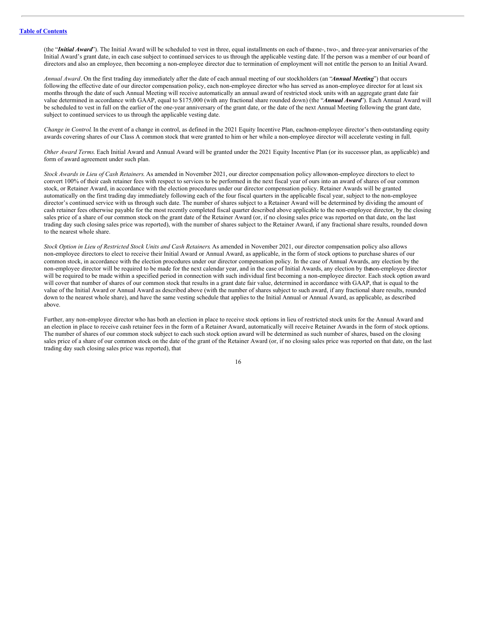(the "*Initial Award*"). The Initial Award will be scheduled to vest in three, equal installments on each of theone-, two-, and three-year anniversaries of the Initial Award's grant date, in each case subject to continued services to us through the applicable vesting date. If the person was a member of our board of directors and also an employee, then becoming a non-employee director due to termination of employment will not entitle the person to an Initial Award.

*Annual Award*. On the first trading day immediately after the date of each annual meeting of our stockholders (an "*Annual Meeting*") that occurs following the effective date of our director compensation policy, each non-employee director who has served as anon-employee director for at least six months through the date of such Annual Meeting will receive automatically an annual award of restricted stock units with an aggregate grant date fair value determined in accordance with GAAP, equal to \$175,000 (with any fractional share rounded down) (the "*Annual Award*"). Each Annual Award will be scheduled to vest in full on the earlier of the one-year anniversary of the grant date, or the date of the next Annual Meeting following the grant date, subject to continued services to us through the applicable vesting date.

*Change in Control*. In the event of a change in control, as defined in the 2021 Equity Incentive Plan, eachnon-employee director's then-outstanding equity awards covering shares of our Class A common stock that were granted to him or her while a non-employee director will accelerate vesting in full.

*Other Award Terms*. Each Initial Award and Annual Award will be granted under the 2021 Equity Incentive Plan (or its successor plan, as applicable) and form of award agreement under such plan.

*Stock Awards in Lieu of Cash Retainers*. As amended in November 2021, our director compensation policy allowsnon-employee directors to elect to convert 100% of their cash retainer fees with respect to services to be performed in the next fiscal year of ours into an award of shares of our common stock, or Retainer Award, in accordance with the election procedures under our director compensation policy. Retainer Awards will be granted automatically on the first trading day immediately following each of the four fiscal quarters in the applicable fiscal year, subject to the non-employee director's continued service with us through such date. The number of shares subject to a Retainer Award will be determined by dividing the amount of cash retainer fees otherwise payable for the most recently completed fiscal quarter described above applicable to the non-employee director, by the closing sales price of a share of our common stock on the grant date of the Retainer Award (or, if no closing sales price was reported on that date, on the last trading day such closing sales price was reported), with the number of shares subject to the Retainer Award, if any fractional share results, rounded down to the nearest whole share.

*Stock Option in Lieu of Restricted Stock Units and Cash Retainers*. As amended in November 2021, our director compensation policy also allows non-employee directors to elect to receive their Initial Award or Annual Award, as applicable, in the form of stock options to purchase shares of our common stock, in accordance with the election procedures under our director compensation policy. In the case of Annual Awards, any election by the non-employee director will be required to be made for the next calendar year, and in the case of Initial Awards, any election by thenon-employee director will be required to be made within a specified period in connection with such individual first becoming a non-employee director. Each stock option award will cover that number of shares of our common stock that results in a grant date fair value, determined in accordance with GAAP, that is equal to the value of the Initial Award or Annual Award as described above (with the number of shares subject to such award, if any fractional share results, rounded down to the nearest whole share), and have the same vesting schedule that applies to the Initial Annual or Annual Award, as applicable, as described above.

Further, any non-employee director who has both an election in place to receive stock options in lieu of restricted stock units for the Annual Award and an election in place to receive cash retainer fees in the form of a Retainer Award, automatically will receive Retainer Awards in the form of stock options. The number of shares of our common stock subject to each such stock option award will be determined as such number of shares, based on the closing sales price of a share of our common stock on the date of the grant of the Retainer Award (or, if no closing sales price was reported on that date, on the last trading day such closing sales price was reported), that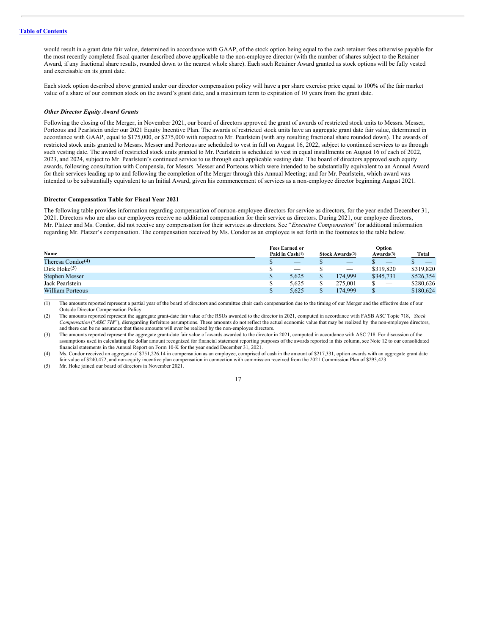would result in a grant date fair value, determined in accordance with GAAP, of the stock option being equal to the cash retainer fees otherwise payable for the most recently completed fiscal quarter described above applicable to the non-employee director (with the number of shares subject to the Retainer Award, if any fractional share results, rounded down to the nearest whole share). Each such Retainer Award granted as stock options will be fully vested and exercisable on its grant date.

Each stock option described above granted under our director compensation policy will have a per share exercise price equal to 100% of the fair market value of a share of our common stock on the award's grant date, and a maximum term to expiration of 10 years from the grant date.

#### *Other Director Equity Award Grants*

Following the closing of the Merger, in November 2021, our board of directors approved the grant of awards of restricted stock units to Messrs. Messer, Porteous and Pearlstein under our 2021 Equity Incentive Plan. The awards of restricted stock units have an aggregate grant date fair value, determined in accordance with GAAP, equal to \$175,000, or \$275,000 with respect to Mr. Pearlstein (with any resulting fractional share rounded down). The awards of restricted stock units granted to Messrs. Messer and Porteous are scheduled to vest in full on August 16, 2022, subject to continued services to us through such vesting date. The award of restricted stock units granted to Mr. Pearlstein is scheduled to vest in equal installments on August 16 of each of 2022, 2023, and 2024, subject to Mr. Pearlstein's continued service to us through each applicable vesting date. The board of directors approved such equity awards, following consultation with Compensia, for Messrs. Messer and Porteous which were intended to be substantially equivalent to an Annual Award for their services leading up to and following the completion of the Merger through this Annual Meeting; and for Mr. Pearlstein, which award was intended to be substantially equivalent to an Initial Award, given his commencement of services as a non-employee director beginning August 2021.

## **Director Compensation Table for Fiscal Year 2021**

The following table provides information regarding compensation of ournon-employee directors for service as directors, for the year ended December 31, 2021. Directors who are also our employees receive no additional compensation for their service as directors. During 2021, our employee directors, Mr. Platzer and Ms. Condor, did not receive any compensation for their services as directors. See "*Executive Compensation*" for additional information regarding Mr. Platzer's compensation. The compensation received by Ms. Condor as an employee is set forth in the footnotes to the table below.

|                               | <b>Fees Earned or</b> |  |                                 | Option                          |           |  |
|-------------------------------|-----------------------|--|---------------------------------|---------------------------------|-----------|--|
| Name                          | Paid in Cash(1)       |  | <b>Stock Awards(2)</b>          | Awards(3)                       | Total     |  |
| Theresa Condor <sup>(4)</sup> |                       |  |                                 |                                 |           |  |
| Dirk Hoke $(5)$               |                       |  | $\hspace{0.1mm}-\hspace{0.1mm}$ | \$319,820                       | \$319,820 |  |
| <b>Stephen Messer</b>         | 5.625                 |  | 174.999                         | \$345,731                       | \$526,354 |  |
| Jack Pearlstein               | 5.625                 |  | 275,001                         |                                 | \$280,626 |  |
| <b>William Porteous</b>       | 5.625                 |  | 174.999                         | $\hspace{0.1mm}-\hspace{0.1mm}$ | \$180,624 |  |

(1) The amounts reported represent a partial year of the board of directors and committee chair cash compensation due to the timing of our Merger and the effective date of our Outside Director Compensation Policy.

(2) The amounts reported represent the aggregate grant-date fair value of the RSUs awarded to the director in 2021, computed in accordance with FASB ASC Topic 718, *Stock Compensation* ("*ASC 718*"), disregarding forfeiture assumptions. These amounts do not reflect the actual economic value that may be realized by the non-employee directors, and there can be no assurance that these amounts will ever be realized by the non-employee directors.

(3) The amounts reported represent the aggregate grant-date fair value of awards awarded to the director in 2021, computed in accordance with ASC 718. For discussion of the assumptions used in calculating the dollar amount recognized for financial statement reporting purposes of the awards reported in this column, see Note 12 to our consolidated financial statements in the Annual Report on Form 10-K for the year ended December 31, 2021.

(4) Ms. Condor received an aggregate of \$751,226.14 in compensation as an employee, comprised of cash in the amount of \$217,331, option awards with an aggregate grant date fair value of \$240,472, and non-equity incentive plan compensation in connection with commission received from the 2021 Commission Plan of \$293,423

(5) Mr. Hoke joined our board of directors in November 2021.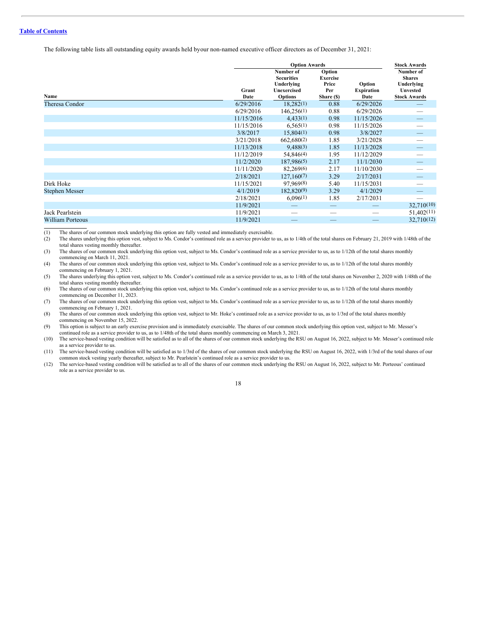The following table lists all outstanding equity awards held byour non-named executive officer directors as of December 31, 2021:

|                         |               | <b>Option Awards</b>                                                                 |                                                         |                                     |                                                                                    |  |  |  |  |
|-------------------------|---------------|--------------------------------------------------------------------------------------|---------------------------------------------------------|-------------------------------------|------------------------------------------------------------------------------------|--|--|--|--|
| Name                    | Grant<br>Date | Number of<br><b>Securities</b><br>Underlying<br><b>Unexercised</b><br><b>Options</b> | Option<br><b>Exercise</b><br>Price<br>Per<br>Share (\$) | Option<br><b>Expiration</b><br>Date | Number of<br><b>Shares</b><br>Underlying<br><b>Unvested</b><br><b>Stock Awards</b> |  |  |  |  |
| Theresa Condor          | 6/29/2016     | 18,282(1)                                                                            | 0.88                                                    | 6/29/2026                           |                                                                                    |  |  |  |  |
|                         | 6/29/2016     | 146,256(1)                                                                           | 0.88                                                    | 6/29/2026                           |                                                                                    |  |  |  |  |
|                         | 11/15/2016    | 4,433(1)                                                                             | 0.98                                                    | 11/15/2026                          |                                                                                    |  |  |  |  |
|                         | 11/15/2016    | 6,565(1)                                                                             | 0.98                                                    | 11/15/2026                          |                                                                                    |  |  |  |  |
|                         | 3/8/2017      | 15,804(1)                                                                            | 0.98                                                    | 3/8/2027                            |                                                                                    |  |  |  |  |
|                         | 3/21/2018     | 662,680(2)                                                                           | 1.85                                                    | 3/21/2028                           |                                                                                    |  |  |  |  |
|                         | 11/13/2018    | 9,488(3)                                                                             | 1.85                                                    | 11/13/2028                          |                                                                                    |  |  |  |  |
|                         | 11/12/2019    | 54,846(4)                                                                            | 1.95                                                    | 11/12/2029                          |                                                                                    |  |  |  |  |
|                         | 11/2/2020     | 187,986(5)                                                                           | 2.17                                                    | 11/1/2030                           |                                                                                    |  |  |  |  |
|                         | 11/11/2020    | 82,269(6)                                                                            | 2.17                                                    | 11/10/2030                          |                                                                                    |  |  |  |  |
|                         | 2/18/2021     | 127,160(7)                                                                           | 3.29                                                    | 2/17/2031                           |                                                                                    |  |  |  |  |
| Dirk Hoke               | 11/15/2021    | 97,969(8)                                                                            | 5.40                                                    | 11/15/2031                          |                                                                                    |  |  |  |  |
| <b>Stephen Messer</b>   | 4/1/2019      | 182,820(9)                                                                           | 3.29                                                    | 4/1/2029                            |                                                                                    |  |  |  |  |
|                         | 2/18/2021     | 6,096(1)                                                                             | 1.85                                                    | 2/17/2031                           |                                                                                    |  |  |  |  |
|                         | 11/9/2021     |                                                                                      |                                                         |                                     | 32,710(10)                                                                         |  |  |  |  |
| Jack Pearlstein         | 11/9/2021     |                                                                                      |                                                         |                                     | 51,402(11)                                                                         |  |  |  |  |
| <b>William Porteous</b> | 11/9/2021     |                                                                                      |                                                         |                                     | 32,710(12)                                                                         |  |  |  |  |

(1) The shares of our common stock underlying this option are fully vested and immediately exercisable.

(2) The shares underlying this option vest, subject to Ms. Condor's continued role as a service provider to us, as to 1/4th of the total shares on February 21, 2019 with 1/48th of the total shares vesting monthly thereafter.

(3) The shares of our common stock underlying this option vest, subject to Ms. Condor's continued role as a service provider to us, as to 1/12th of the total shares monthly commencing on March 11, 2021.

(4) The shares of our common stock underlying this option vest, subject to Ms. Condor's continued role as a service provider to us, as to 1/12th of the total shares monthly commencing on February 1, 2021.

(5) The shares underlying this option vest, subject to Ms. Condor's continued role as a service provider to us, as to 1/4th of the total shares on November 2, 2020 with 1/48th of the total shares vesting monthly thereafter.

(6) The shares of our common stock underlying this option vest, subject to Ms. Condor's continued role as a service provider to us, as to 1/12th of the total shares monthly commencing on December 11, 2023.

(7) The shares of our common stock underlying this option vest, subject to Ms. Condor's continued role as a service provider to us, as to 1/12th of the total shares monthly commencing on February 1, 2021.

(8) The shares of our common stock underlying this option vest, subject to Mr. Hoke's continued role as a service provider to us, as to 1/3rd of the total shares monthly commencing on November 15, 2022.

(9) This option is subject to an early exercise provision and is immediately exercisable. The shares of our common stock underlying this option vest, subject to Mr. Messer's continued role as a service provider to us, as to 1/48th of the total shares monthly commencing on March 3, 2021.

(10) The service-based vesting condition will be satisfied as to all of the shares of our common stock underlying the RSU on August 16, 2022, subject to Mr. Messer's continued role as a service provider to us.

(11) The service-based vesting condition will be satisfied as to 1/3rd of the shares of our common stock underlying the RSU on August 16, 2022, with 1/3rd of the total shares of our common stock vesting yearly thereafter, subject to Mr. Pearlstein's continued role as a service provider to us.

(12) The service-based vesting condition will be satisfied as to all of the shares of our common stock underlying the RSU on August 16, 2022, subject to Mr. Porteous' continued role as a service provider to us.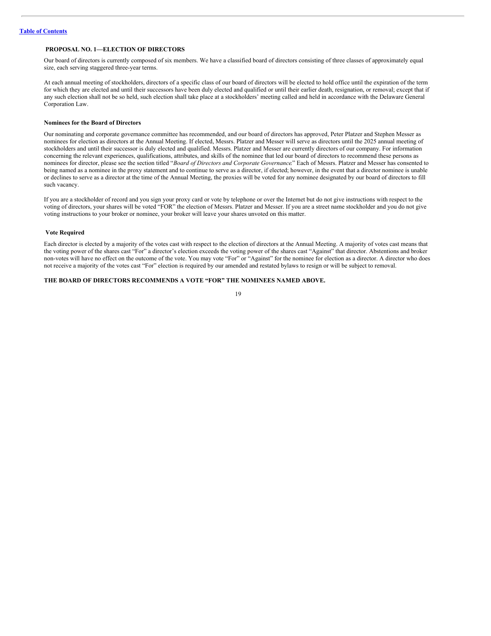## <span id="page-22-0"></span>**PROPOSAL NO. 1—ELECTION OF DIRECTORS**

Our board of directors is currently composed of six members. We have a classified board of directors consisting of three classes of approximately equal size, each serving staggered three-year terms.

At each annual meeting of stockholders, directors of a specific class of our board of directors will be elected to hold office until the expiration of the term for which they are elected and until their successors have been duly elected and qualified or until their earlier death, resignation, or removal; except that if any such election shall not be so held, such election shall take place at a stockholders' meeting called and held in accordance with the Delaware General Corporation Law.

## **Nominees for the Board of Directors**

Our nominating and corporate governance committee has recommended, and our board of directors has approved, Peter Platzer and Stephen Messer as nominees for election as directors at the Annual Meeting. If elected, Messrs. Platzer and Messer will serve as directors until the 2025 annual meeting of stockholders and until their successor is duly elected and qualified. Messrs. Platzer and Messer are currently directors of our company. For information concerning the relevant experiences, qualifications, attributes, and skills of the nominee that led our board of directors to recommend these persons as nominees for director, please see the section titled "*Board of Directors and Corporate Governance*." Each of Messrs. Platzer and Messer has consented to being named as a nominee in the proxy statement and to continue to serve as a director, if elected; however, in the event that a director nominee is unable or declines to serve as a director at the time of the Annual Meeting, the proxies will be voted for any nominee designated by our board of directors to fill such vacancy.

If you are a stockholder of record and you sign your proxy card or vote by telephone or over the Internet but do not give instructions with respect to the voting of directors, your shares will be voted "FOR" the election of Messrs. Platzer and Messer. If you are a street name stockholder and you do not give voting instructions to your broker or nominee, your broker will leave your shares unvoted on this matter.

## <span id="page-22-1"></span>**Vote Required**

Each director is elected by a majority of the votes cast with respect to the election of directors at the Annual Meeting. A majority of votes cast means that the voting power of the shares cast "For" a director's election exceeds the voting power of the shares cast "Against" that director. Abstentions and broker non-votes will have no effect on the outcome of the vote. You may vote "For" or "Against" for the nominee for election as a director. A director who does not receive a majority of the votes cast "For" election is required by our amended and restated bylaws to resign or will be subject to removal.

## **THE BOARD OF DIRECTORS RECOMMENDS A VOTE "FOR" THE NOMINEES NAMED ABOVE.**

| ٦<br>۰. |
|---------|
| ۰,<br>٧ |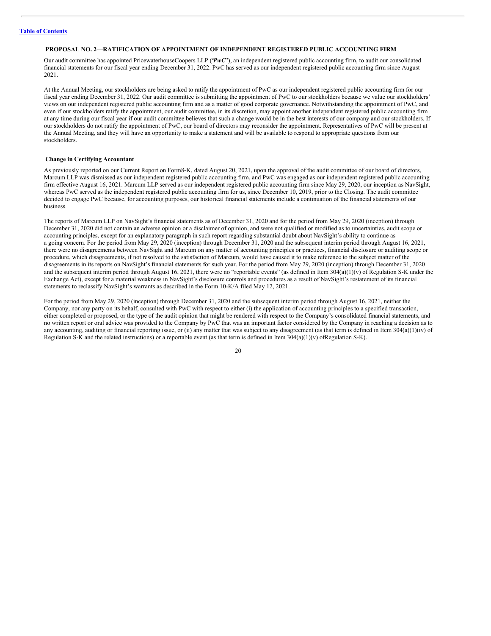## <span id="page-23-0"></span>**PROPOSAL NO. 2—RATIFICATION OF APPOINTMENT OF INDEPENDENT REGISTERED PUBLIC ACCOUNTING FIRM**

Our audit committee has appointed PricewaterhouseCoopers LLP ("*PwC*"), an independent registered public accounting firm, to audit our consolidated financial statements for our fiscal year ending December 31, 2022. PwC has served as our independent registered public accounting firm since August 2021.

At the Annual Meeting, our stockholders are being asked to ratify the appointment of PwC as our independent registered public accounting firm for our fiscal year ending December 31, 2022. Our audit committee is submitting the appointment of PwC to our stockholders because we value our stockholders' views on our independent registered public accounting firm and as a matter of good corporate governance. Notwithstanding the appointment of PwC, and even if our stockholders ratify the appointment, our audit committee, in its discretion, may appoint another independent registered public accounting firm at any time during our fiscal year if our audit committee believes that such a change would be in the best interests of our company and our stockholders. If our stockholders do not ratify the appointment of PwC, our board of directors may reconsider the appointment. Representatives of PwC will be present at the Annual Meeting, and they will have an opportunity to make a statement and will be available to respond to appropriate questions from our stockholders.

## <span id="page-23-1"></span>**Change in Certifying Accountant**

As previously reported on our Current Report on Form8-K, dated August 20, 2021, upon the approval of the audit committee of our board of directors, Marcum LLP was dismissed as our independent registered public accounting firm, and PwC was engaged as our independent registered public accounting firm effective August 16, 2021. Marcum LLP served as our independent registered public accounting firm since May 29, 2020, our inception as NavSight, whereas PwC served as the independent registered public accounting firm for us, since December 10, 2019, prior to the Closing. The audit committee decided to engage PwC because, for accounting purposes, our historical financial statements include a continuation of the financial statements of our business.

The reports of Marcum LLP on NavSight's financial statements as of December 31, 2020 and for the period from May 29, 2020 (inception) through December 31, 2020 did not contain an adverse opinion or a disclaimer of opinion, and were not qualified or modified as to uncertainties, audit scope or accounting principles, except for an explanatory paragraph in such report regarding substantial doubt about NavSight's ability to continue as a going concern. For the period from May 29, 2020 (inception) through December 31, 2020 and the subsequent interim period through August 16, 2021, there were no disagreements between NavSight and Marcum on any matter of accounting principles or practices, financial disclosure or auditing scope or procedure, which disagreements, if not resolved to the satisfaction of Marcum, would have caused it to make reference to the subject matter of the disagreements in its reports on NavSight's financial statements for such year. For the period from May 29, 2020 (inception) through December 31, 2020 and the subsequent interim period through August 16, 2021, there were no "reportable events" (as defined in Item  $304(a)(1)(v)$  of Regulation S-K under the Exchange Act), except for a material weakness in NavSight's disclosure controls and procedures as a result of NavSight's restatement of its financial statements to reclassify NavSight's warrants as described in the Form 10-K/A filed May 12, 2021.

For the period from May 29, 2020 (inception) through December 31, 2020 and the subsequent interim period through August 16, 2021, neither the Company, nor any party on its behalf, consulted with PwC with respect to either (i) the application of accounting principles to a specified transaction, either completed or proposed, or the type of the audit opinion that might be rendered with respect to the Company's consolidated financial statements, and no written report or oral advice was provided to the Company by PwC that was an important factor considered by the Company in reaching a decision as to any accounting, auditing or financial reporting issue, or (ii) any matter that was subject to any disagreement (as that term is defined in Item 304(a)(1)(iv) of Regulation S-K and the related instructions) or a reportable event (as that term is defined in Item  $304(a)(1)(v)$  ofRegulation S-K).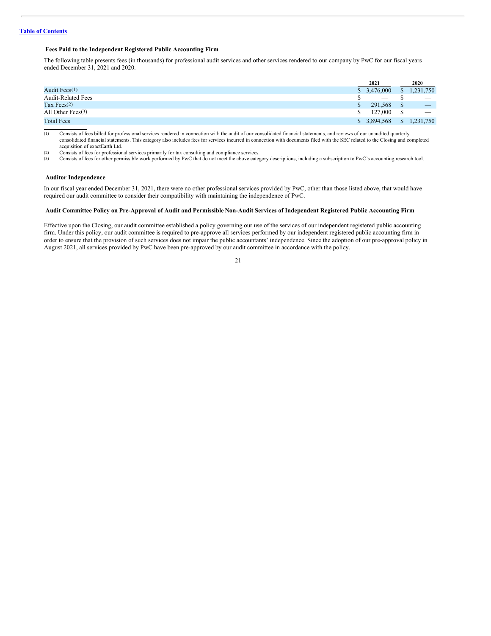## <span id="page-24-0"></span>**Fees Paid to the Independent Registered Public Accounting Firm**

The following table presents fees (in thousands) for professional audit services and other services rendered to our company by PwC for our fiscal years ended December 31, 2021 and 2020.

|                           |              | 2021      | 2020                            |
|---------------------------|--------------|-----------|---------------------------------|
| Audit Fees $(1)$          | $\mathbb{S}$ | 3.476,000 | 1.231.750                       |
| <b>Audit-Related Fees</b> |              |           | $\hspace{0.1mm}-\hspace{0.1mm}$ |
| Tax Fees $(2)$            |              | 291.568   | $\overline{\phantom{a}}$        |
| All Other Fees $(3)$      |              | 127,000   | $\overline{\phantom{a}}$        |
| <b>Total Fees</b>         | S.           | 3,894,568 | 1,231,750                       |

(1) Consists of fees billed for professional services rendered in connection with the audit of our consolidated financial statements, and reviews of our unaudited quarterly consolidated financial statements. This category also includes fees for services incurred in connection with documents filed with the SEC related to the Closing and completed acquisition of exactEarth Ltd.

(2) Consists of fees for professional services primarily for tax consulting and compliance services.<br>
(3) Consists of fees for other permissible work performed by PwC that do not meet the above cates

Consists of fees for other permissible work performed by PwC that do not meet the above category descriptions, including a subscription to PwC's accounting research tool.

#### <span id="page-24-1"></span>**Auditor Independence**

In our fiscal year ended December 31, 2021, there were no other professional services provided by PwC, other than those listed above, that would have required our audit committee to consider their compatibility with maintaining the independence of PwC.

## <span id="page-24-2"></span>Audit Committee Policy on Pre-Approval of Audit and Permissible Non-Audit Services of Independent Registered Public Accounting Firm

Effective upon the Closing, our audit committee established a policy governing our use of the services of our independent registered public accounting firm. Under this policy, our audit committee is required to pre-approve all services performed by our independent registered public accounting firm in order to ensure that the provision of such services does not impair the public accountants' independence. Since the adoption of our pre-approval policy in August 2021, all services provided by PwC have been pre-approved by our audit committee in accordance with the policy.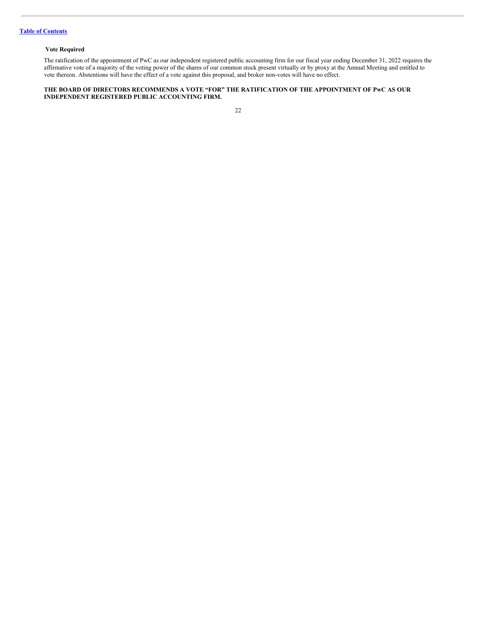## <span id="page-25-0"></span>**Vote Required**

The ratification of the appointment of PwC as our independent registered public accounting firm for our fiscal year ending December 31, 2022 requires the affirmative vote of a majority of the voting power of the shares of our common stock present virtually or by proxy at the Annual Meeting and entitled to vote thereon. Abstentions will have the effect of a vote against this proposal, and broker non-votes will have no effect.

#### **THE BOARD OF DIRECTORS RECOMMENDS A VOTE "FOR" THE RATIFICATION OF THE APPOINTMENT OF PwC AS OUR INDEPENDENT REGISTERED PUBLIC ACCOUNTING FIRM.**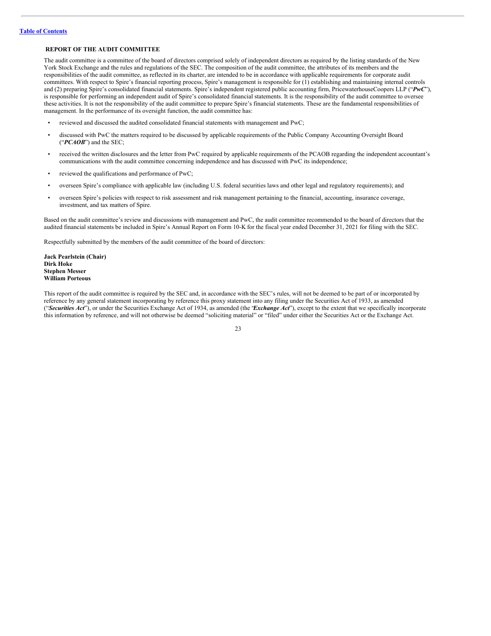## <span id="page-26-0"></span>**REPORT OF THE AUDIT COMMITTEE**

The audit committee is a committee of the board of directors comprised solely of independent directors as required by the listing standards of the New York Stock Exchange and the rules and regulations of the SEC. The composition of the audit committee, the attributes of its members and the responsibilities of the audit committee, as reflected in its charter, are intended to be in accordance with applicable requirements for corporate audit committees. With respect to Spire's financial reporting process, Spire's management is responsible for (1) establishing and maintaining internal controls and (2) preparing Spire's consolidated financial statements. Spire's independent registered public accounting firm, PricewaterhouseCoopers LLP ("*PwC*"), is responsible for performing an independent audit of Spire's consolidated financial statements. It is the responsibility of the audit committee to oversee these activities. It is not the responsibility of the audit committee to prepare Spire's financial statements. These are the fundamental responsibilities of management. In the performance of its oversight function, the audit committee has:

- reviewed and discussed the audited consolidated financial statements with management and PwC;
- discussed with PwC the matters required to be discussed by applicable requirements of the Public Company Accounting Oversight Board ("*PCAOB*") and the SEC;
- received the written disclosures and the letter from PwC required by applicable requirements of the PCAOB regarding the independent accountant's communications with the audit committee concerning independence and has discussed with PwC its independence;
- reviewed the qualifications and performance of PwC;
- overseen Spire's compliance with applicable law (including U.S. federal securities laws and other legal and regulatory requirements); and
- overseen Spire's policies with respect to risk assessment and risk management pertaining to the financial, accounting, insurance coverage, investment, and tax matters of Spire.

Based on the audit committee's review and discussions with management and PwC, the audit committee recommended to the board of directors that the audited financial statements be included in Spire's Annual Report on Form 10-K for the fiscal year ended December 31, 2021 for filing with the SEC.

Respectfully submitted by the members of the audit committee of the board of directors:

**Jack Pearlstein (Chair) Dirk Hoke Stephen Messer William Porteous**

This report of the audit committee is required by the SEC and, in accordance with the SEC's rules, will not be deemed to be part of or incorporated by reference by any general statement incorporating by reference this proxy statement into any filing under the Securities Act of 1933, as amended ("*Securities Act*"), or under the Securities Exchange Act of 1934, as amended (the "*Exchange Act*"), except to the extent that we specifically incorporate this information by reference, and will not otherwise be deemed "soliciting material" or "filed" under either the Securities Act or the Exchange Act.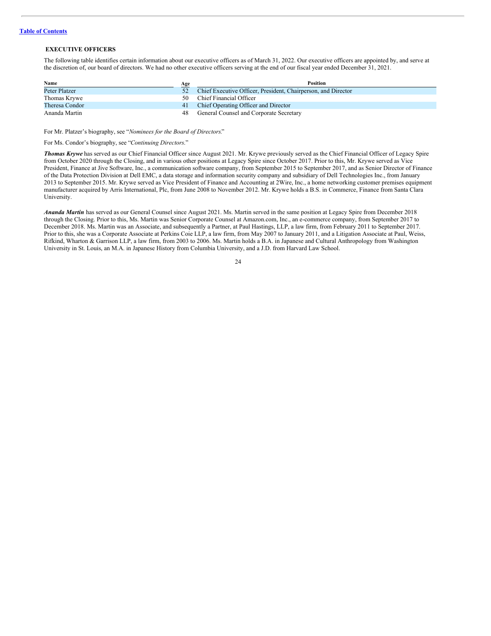## <span id="page-27-0"></span>**EXECUTIVE OFFICERS**

The following table identifies certain information about our executive officers as of March 31, 2022. Our executive officers are appointed by, and serve at the discretion of, our board of directors. We had no other executive officers serving at the end of our fiscal year ended December 31, 2021.

| Name                 | Age | <b>Position</b>                                               |
|----------------------|-----|---------------------------------------------------------------|
| <b>Peter Platzer</b> | 52  | Chief Executive Officer, President, Chairperson, and Director |
| Thomas Krywe         | 50  | Chief Financial Officer                                       |
| Theresa Condor       |     | 41 Chief Operating Officer and Director                       |
| Ananda Martin        | 48. | General Counsel and Corporate Secretary                       |

For Mr. Platzer's biography, see "*Nominees for the Board of Directors.*"

For Ms. Condor's biography, see "*Continuing Directors*."

*Thomas Krywe* has served as our Chief Financial Officer since August 2021. Mr. Krywe previously served as the Chief Financial Officer of Legacy Spire from October 2020 through the Closing, and in various other positions at Legacy Spire since October 2017. Prior to this, Mr. Krywe served as Vice President, Finance at Jive Software, Inc., a communication software company, from September 2015 to September 2017, and as Senior Director of Finance of the Data Protection Division at Dell EMC, a data storage and information security company and subsidiary of Dell Technologies Inc., from January 2013 to September 2015. Mr. Krywe served as Vice President of Finance and Accounting at 2Wire, Inc., a home networking customer premises equipment manufacturer acquired by Arris International, Plc, from June 2008 to November 2012. Mr. Krywe holds a B.S. in Commerce, Finance from Santa Clara University.

*Ananda Martin* has served as our General Counsel since August 2021. Ms. Martin served in the same position at Legacy Spire from December 2018 through the Closing. Prior to this, Ms. Martin was Senior Corporate Counsel at Amazon.com, Inc., an e-commerce company, from September 2017 to December 2018. Ms. Martin was an Associate, and subsequently a Partner, at Paul Hastings, LLP, a law firm, from February 2011 to September 2017. Prior to this, she was a Corporate Associate at Perkins Coie LLP, a law firm, from May 2007 to January 2011, and a Litigation Associate at Paul, Weiss, Rifkind, Wharton & Garrison LLP, a law firm, from 2003 to 2006. Ms. Martin holds a B.A. in Japanese and Cultural Anthropology from Washington University in St. Louis, an M.A. in Japanese History from Columbia University, and a J.D. from Harvard Law School.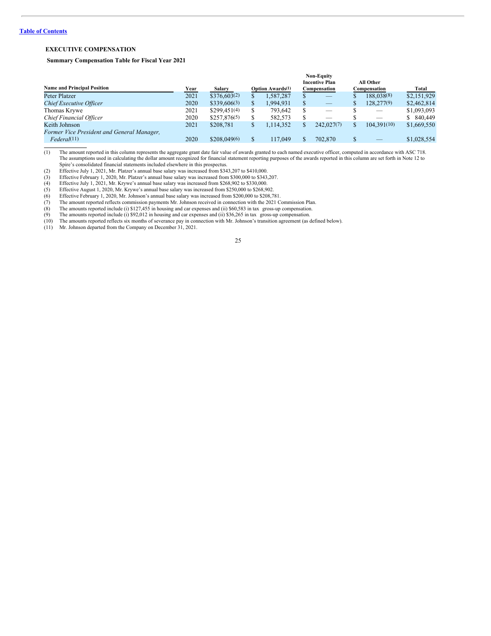## **Table of [Contents](#page-2-0)**

## <span id="page-28-0"></span>**EXECUTIVE COMPENSATION**

## <span id="page-28-2"></span><span id="page-28-1"></span>**Summary Compensation Table for Fiscal Year 2021**

|                                            |      |                   |    |                          |   | <b>Non-Equity</b>     |              |               |
|--------------------------------------------|------|-------------------|----|--------------------------|---|-----------------------|--------------|---------------|
|                                            |      |                   |    |                          |   | <b>Incentive Plan</b> | All Other    |               |
| <b>Name and Principal Position</b>         | Year | Salary            |    | <b>Option Awards</b> (1) |   | Compensation          | Compensation | Total         |
| <b>Peter Platzer</b>                       | 2021 | \$376,603(2)      |    | 1,587,287                |   | _                     | 188,038(8)   | \$2,151,929   |
| Chief Executive Officer                    | 2020 | $$339,606^{(3)}$$ | S. | 1,994,931                | S |                       | 128.277(9)   | \$2,462,814   |
| Thomas Krywe                               | 2021 | $$299.451^{(4)}$  | S  | 793.642                  | S |                       |              | \$1,093,093   |
| Chief Financial Officer                    | 2020 | $$257,876^{(5)}$  |    | 582,573                  | S | _                     |              | 840,449<br>S. |
| Keith Johnson                              | 2021 | \$208,781         | \$ | 1.114.352                |   | 242.027(7)            | 104.391(10)  | \$1,669,550   |
| Former Vice President and General Manager, |      |                   |    |                          |   |                       |              |               |
| Federal(11)                                | 2020 | \$208,049(6)      |    | 117,049                  |   | 702,870               | $-$          | \$1,028,554   |

(1) The amount reported in this column represents the aggregate grant date fair value of awards granted to each named executive officer, computed in accordance with ASC 718. The assumptions used in calculating the dollar amount recognized for financial statement reporting purposes of the awards reported in this column are set forth in Note 12 to Spire's consolidated financial statements included elsewhere in this prospectus.

(2) Effective July 1, 2021, Mr. Platzer's annual base salary was increased from \$343,207 to \$410,000. (3) Effective February 1, 2020, Mr. Platzer's annual base salary was increased from \$300,000 to \$343,207.

(4) Effective July 1, 2021, Mr. Krywe's annual base salary was increased from \$268,902 to \$330,000.

Effective August 1, 2020, Mr. Krywe's annual base salary was increased from \$250,000 to \$268,902.<br>Effective February 1, 2020, Mr. Johnson's annual base salary was increased from \$200,000 to \$268,902.

(6) Effective February 1, 2020, Mr. Johnson's annual base salary was increased from \$200,000 to \$208,781.<br>
(7) The amount reported reflects commission payments Mr. Johnson received in connection with the 2021 Commission P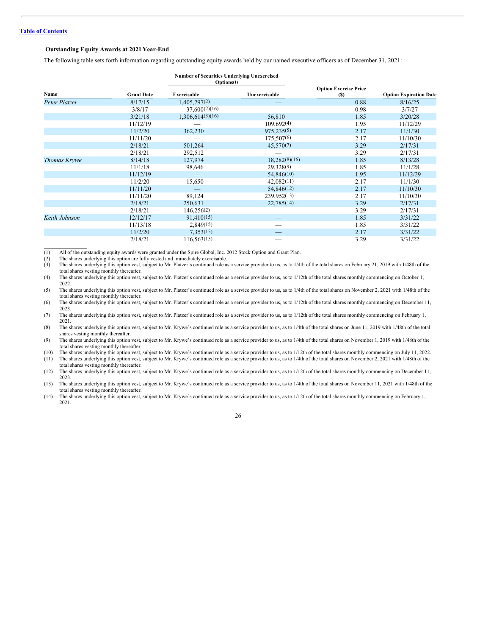## <span id="page-29-0"></span>**Outstanding Equity Awards at 2021 Year-End**

The following table sets forth information regarding outstanding equity awards held by our named executive officers as of December 31, 2021:

|               |                   | <b>Number of Securities Underlying Unexercised</b> |               |                              |                               |
|---------------|-------------------|----------------------------------------------------|---------------|------------------------------|-------------------------------|
|               |                   | Options(1)                                         |               |                              |                               |
|               |                   |                                                    |               | <b>Option Exercise Price</b> |                               |
| Name          | <b>Grant Date</b> | Exercisable                                        | Unexercisable | (S)                          | <b>Option Expiration Date</b> |
| Peter Platzer | 8/17/15           | 1,405,297(2)                                       |               | 0.88                         | 8/16/25                       |
|               | 3/8/17            | 37,600(2)(16)                                      |               | 0.98                         | 3/7/27                        |
|               | 3/21/18           | 1,306,614(3)(16)                                   | 56,810        | 1.85                         | 3/20/28                       |
|               | 11/12/19          |                                                    | 109,692(4)    | 1.95                         | 11/12/29                      |
|               | 11/2/20           | 362,230                                            | 975, 235(5)   | 2.17                         | 11/1/30                       |
|               | 11/11/20          |                                                    | 175,507(6)    | 2.17                         | 11/10/30                      |
|               | 2/18/21           | 501,264                                            | 45,570(7)     | 3.29                         | 2/17/31                       |
|               | 2/18/21           | 292,512                                            |               | 3.29                         | 2/17/31                       |
| Thomas Krywe  | 8/14/18           | 127,974                                            | 18,282(8)(16) | 1.85                         | 8/13/28                       |
|               | 11/1/18           | 98,646                                             | 29,328(9)     | 1.85                         | 11/1/28                       |
|               | 11/12/19          |                                                    | 54,846(10)    | 1.95                         | 11/12/29                      |
|               | 11/2/20           | 15,650                                             | 42,082(11)    | 2.17                         | 11/1/30                       |
|               | 11/11/20          |                                                    | 54,846(12)    | 2.17                         | 11/10/30                      |
|               | 11/11/20          | 89,124                                             | 239,952(13)   | 2.17                         | 11/10/30                      |
|               | 2/18/21           | 250,631                                            | 22,785(14)    | 3.29                         | 2/17/31                       |
|               | 2/18/21           | 146,256(2)                                         |               | 3.29                         | 2/17/31                       |
| Keith Johnson | 12/12/17          | 91,410(15)                                         |               | 1.85                         | 3/31/22                       |
|               | 11/13/18          | 2,849(15)                                          |               | 1.85                         | 3/31/22                       |
|               | 11/2/20           | 7,353(15)                                          |               | 2.17                         | 3/31/22                       |
|               | 2/18/21           | 116,563(15)                                        |               | 3.29                         | 3/31/22                       |

(1) All of the outstanding equity awards were granted under the Spire Global, Inc. 2012 Stock Option and Grant Plan.

(2) The shares underlying this option are fully vested and immediately exercisable.<br>
(3) The shares underlying this option vest, subject to Mr. Platzer's continued role a

The shares underlying this option vest, subject to Mr. Platzer's continued role as a service provider to us, as to 1/4th of the total shares on February 21, 2019 with 1/48th of the total shares vesting monthly thereafter.

(4) The shares underlying this option vest, subject to Mr. Platzer's continued role as a service provider to us, as to 1/12th of the total shares monthly commencing on October 1, 2022.

(5) The shares underlying this option vest, subject to Mr. Platzer's continued role as a service provider to us, as to 1/4th of the total shares on November 2, 2021 with 1/48th of the total shares vesting monthly thereafter.

(6) The shares underlying this option vest, subject to Mr. Platzer's continued role as a service provider to us, as to 1/12th of the total shares monthly commencing on December 11, 2023.

(7) The shares underlying this option vest, subject to Mr. Platzer's continued role as a service provider to us, as to 1/12th of the total shares monthly commencing on February 1, 2021.

(8) The shares underlying this option vest, subject to Mr. Krywe's continued role as a service provider to us, as to 1/4th of the total shares on June 11, 2019 with 1/48th of the total shares vesting monthly thereafter.

(9) The shares underlying this option vest, subject to Mr. Krywe's continued role as a service provider to us, as to 1/4th of the total shares on November 1, 2019 with 1/48th of the total shares vesting monthly thereafter.

(10) The shares underlying this option vest, subject to Mr. Krywe's continued role as a service provider to us, as to 1/12th of the total shares monthly commencing on July 11, 2022. (11) The shares underlying this option vest, subject to Mr. Krywe's continued role as a service provider to us, as to 1/4th of the total shares on November 2, 2021 with 1/48th of the

total shares vesting monthly thereafter.

(12) The shares underlying this option vest, subject to Mr. Krywe's continued role as a service provider to us, as to 1/12th of the total shares monthly commencing on December 11, 2023.

(13) The shares underlying this option vest, subject to Mr. Krywe's continued role as a service provider to us, as to 1/4th of the total shares on November 11, 2021 with 1/48th of the total shares vesting monthly thereafter.

(14) The shares underlying this option vest, subject to Mr. Krywe's continued role as a service provider to us, as to 1/12th of the total shares monthly commencing on February 1, 2021.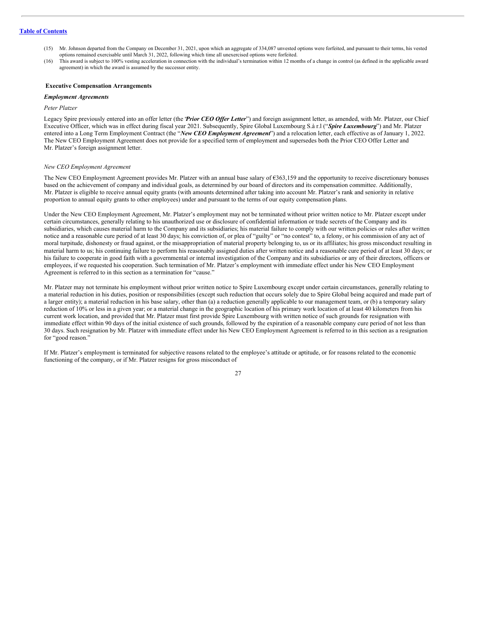- (15) Mr. Johnson departed from the Company on December 31, 2021, upon which an aggregate of 334,087 unvested options were forfeited, and pursuant to their terms, his vested options remained exercisable until March 31, 2022, following which time all unexercised options were forfeited.
- (16) This award is subject to 100% vesting acceleration in connection with the individual's termination within 12 months of a change in control (as defined in the applicable award agreement) in which the award is assumed by the successor entity.

#### <span id="page-30-0"></span>**Executive Compensation Arrangements**

#### *Employment Agreements*

#### *Peter Platzer*

Legacy Spire previously entered into an offer letter (the *'Prior CEO Offer Letter*") and foreign assignment letter, as amended, with Mr. Platzer, our Chief Executive Officer, which was in effect during fiscal year 2021. Subsequently, Spire Global Luxembourg S.à r.l ("*Spire Luxembourg*") and Mr. Platzer entered into a Long Term Employment Contract (the "*New CEO Employment Agreement*") and a relocation letter, each effective as of January 1, 2022. The New CEO Employment Agreement does not provide for a specified term of employment and supersedes both the Prior CEO Offer Letter and Mr. Platzer's foreign assignment letter.

#### *New CEO Employment Agreement*

The New CEO Employment Agreement provides Mr. Platzer with an annual base salary of €363,159 and the opportunity to receive discretionary bonuses based on the achievement of company and individual goals, as determined by our board of directors and its compensation committee. Additionally, Mr. Platzer is eligible to receive annual equity grants (with amounts determined after taking into account Mr. Platzer's rank and seniority in relative proportion to annual equity grants to other employees) under and pursuant to the terms of our equity compensation plans.

Under the New CEO Employment Agreement, Mr. Platzer's employment may not be terminated without prior written notice to Mr. Platzer except under certain circumstances, generally relating to his unauthorized use or disclosure of confidential information or trade secrets of the Company and its subsidiaries, which causes material harm to the Company and its subsidiaries; his material failure to comply with our written policies or rules after written notice and a reasonable cure period of at least 30 days; his conviction of, or plea of "guilty" or "no contest" to, a felony, or his commission of any act of moral turpitude, dishonesty or fraud against, or the misappropriation of material property belonging to, us or its affiliates; his gross misconduct resulting in material harm to us; his continuing failure to perform his reasonably assigned duties after written notice and a reasonable cure period of at least 30 days; or his failure to cooperate in good faith with a governmental or internal investigation of the Company and its subsidiaries or any of their directors, officers or employees, if we requested his cooperation. Such termination of Mr. Platzer's employment with immediate effect under his New CEO Employment Agreement is referred to in this section as a termination for "cause."

Mr. Platzer may not terminate his employment without prior written notice to Spire Luxembourg except under certain circumstances, generally relating to a material reduction in his duties, position or responsibilities (except such reduction that occurs solely due to Spire Global being acquired and made part of a larger entity); a material reduction in his base salary, other than (a) a reduction generally applicable to our management team, or (b) a temporary salary reduction of 10% or less in a given year; or a material change in the geographic location of his primary work location of at least 40 kilometers from his current work location, and provided that Mr. Platzer must first provide Spire Luxembourg with written notice of such grounds for resignation with immediate effect within 90 days of the initial existence of such grounds, followed by the expiration of a reasonable company cure period of not less than 30 days. Such resignation by Mr. Platzer with immediate effect under his New CEO Employment Agreement is referred to in this section as a resignation for "good reason."

If Mr. Platzer's employment is terminated for subjective reasons related to the employee's attitude or aptitude, or for reasons related to the economic functioning of the company, or if Mr. Platzer resigns for gross misconduct of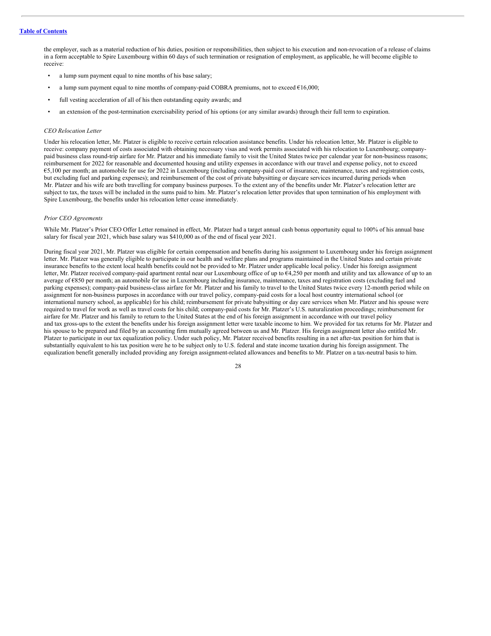the employer, such as a material reduction of his duties, position or responsibilities, then subject to his execution and non-revocation of a release of claims in a form acceptable to Spire Luxembourg within 60 days of such termination or resignation of employment, as applicable, he will become eligible to receive:

- a lump sum payment equal to nine months of his base salary;
- a lump sum payment equal to nine months of company-paid COBRA premiums, not to exceed €16,000;
- full vesting acceleration of all of his then outstanding equity awards; and
- an extension of the post-termination exercisability period of his options (or any similar awards) through their full term to expiration.

#### *CEO Relocation Letter*

Under his relocation letter, Mr. Platzer is eligible to receive certain relocation assistance benefits. Under his relocation letter, Mr. Platzer is eligible to receive: company payment of costs associated with obtaining necessary visas and work permits associated with his relocation to Luxembourg; companypaid business class round-trip airfare for Mr. Platzer and his immediate family to visit the United States twice per calendar year for non-business reasons; reimbursement for 2022 for reasonable and documented housing and utility expenses in accordance with our travel and expense policy, not to exceed €5,100 per month; an automobile for use for 2022 in Luxembourg (including company-paid cost of insurance, maintenance, taxes and registration costs, but excluding fuel and parking expenses); and reimbursement of the cost of private babysitting or daycare services incurred during periods when Mr. Platzer and his wife are both travelling for company business purposes. To the extent any of the benefits under Mr. Platzer's relocation letter are subject to tax, the taxes will be included in the sums paid to him. Mr. Platzer's relocation letter provides that upon termination of his employment with Spire Luxembourg, the benefits under his relocation letter cease immediately.

#### *Prior CEO Agreements*

While Mr. Platzer's Prior CEO Offer Letter remained in effect, Mr. Platzer had a target annual cash bonus opportunity equal to 100% of his annual base salary for fiscal year 2021, which base salary was \$410,000 as of the end of fiscal year 2021.

During fiscal year 2021, Mr. Platzer was eligible for certain compensation and benefits during his assignment to Luxembourg under his foreign assignment letter. Mr. Platzer was generally eligible to participate in our health and welfare plans and programs maintained in the United States and certain private insurance benefits to the extent local health benefits could not be provided to Mr. Platzer under applicable local policy. Under his foreign assignment letter, Mr. Platzer received company-paid apartment rental near our Luxembourg office of up to €4,250 per month and utility and tax allowance of up to an average of €850 per month; an automobile for use in Luxembourg including insurance, maintenance, taxes and registration costs (excluding fuel and parking expenses); company-paid business-class airfare for Mr. Platzer and his family to travel to the United States twice every 12-month period while on assignment for non-business purposes in accordance with our travel policy, company-paid costs for a local host country international school (or international nursery school, as applicable) for his child; reimbursement for private babysitting or day care services when Mr. Platzer and his spouse were required to travel for work as well as travel costs for his child; company-paid costs for Mr. Platzer's U.S. naturalization proceedings; reimbursement for airfare for Mr. Platzer and his family to return to the United States at the end of his foreign assignment in accordance with our travel policy and tax gross-ups to the extent the benefits under his foreign assignment letter were taxable income to him. We provided for tax returns for Mr. Platzer and his spouse to be prepared and filed by an accounting firm mutually agreed between us and Mr. Platzer. His foreign assignment letter also entitled Mr. Platzer to participate in our tax equalization policy. Under such policy, Mr. Platzer received benefits resulting in a net after-tax position for him that is substantially equivalent to his tax position were he to be subject only to U.S. federal and state income taxation during his foreign assignment. The equalization benefit generally included providing any foreign assignment-related allowances and benefits to Mr. Platzer on a tax-neutral basis to him.

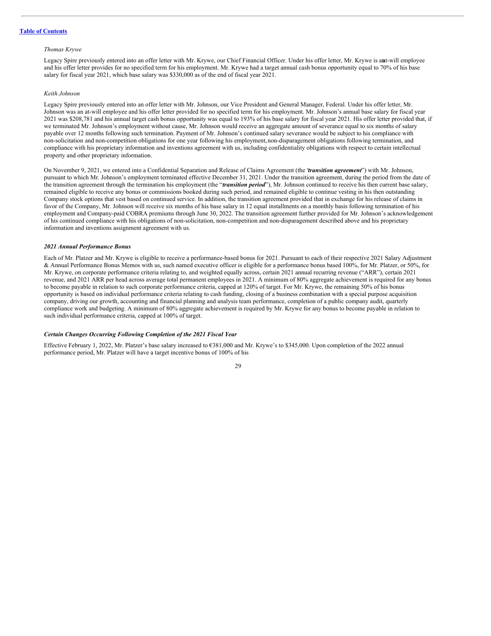#### *Thomas Krywe*

Legacy Spire previously entered into an offer letter with Mr. Krywe, our Chief Financial Officer. Under his offer letter, Mr. Krywe is anat-will employee and his offer letter provides for no specified term for his employment. Mr. Krywe had a target annual cash bonus opportunity equal to 70% of his base salary for fiscal year 2021, which base salary was \$330,000 as of the end of fiscal year 2021.

## *Keith Johnson*

Legacy Spire previously entered into an offer letter with Mr. Johnson, our Vice President and General Manager, Federal. Under his offer letter, Mr. Johnson was an at-will employee and his offer letter provided for no specified term for his employment. Mr. Johnson's annual base salary for fiscal year 2021 was \$208,781 and his annual target cash bonus opportunity was equal to 193% of his base salary for fiscal year 2021. His offer letter provided that, if we terminated Mr. Johnson's employment without cause, Mr. Johnson would receive an aggregate amount of severance equal to six months of salary payable over 12 months following such termination. Payment of Mr. Johnson's continued salary severance would be subject to his compliance with non-solicitation and non-competition obligations for one year following his employment,non-disparagement obligations following termination, and compliance with his proprietary information and inventions agreement with us, including confidentiality obligations with respect to certain intellectual property and other proprietary information.

On November 9, 2021, we entered into a Confidential Separation and Release of Claims Agreement (the "*transition agreement*") with Mr. Johnson, pursuant to which Mr. Johnson's employment terminated effective December 31, 2021. Under the transition agreement, during the period from the date of the transition agreement through the termination his employment (the "*transition period*"), Mr. Johnson continued to receive his then current base salary, remained eligible to receive any bonus or commissions booked during such period, and remained eligible to continue vesting in his then outstanding Company stock options that vest based on continued service. In addition, the transition agreement provided that in exchange for his release of claims in favor of the Company, Mr. Johnson will receive six months of his base salary in 12 equal installments on a monthly basis following termination of his employment and Company-paid COBRA premiums through June 30, 2022. The transition agreement further provided for Mr. Johnson's acknowledgement of his continued compliance with his obligations of non-solicitation, non-competition and non-disparagement described above and his proprietary information and inventions assignment agreement with us.

## *2021 Annual Performance Bonus*

Each of Mr. Platzer and Mr. Krywe is eligible to receive a performance-based bonus for 2021. Pursuant to each of their respective 2021 Salary Adjustment & Annual Performance Bonus Memos with us, such named executive officer is eligible for a performance bonus based 100%, for Mr. Platzer, or 50%, for Mr. Krywe, on corporate performance criteria relating to, and weighted equally across, certain 2021 annual recurring revenue ("ARR"), certain 2021 revenue, and 2021 ARR per head across average total permanent employees in 2021. A minimum of 80% aggregate achievement is required for any bonus to become payable in relation to such corporate performance criteria, capped at 120% of target. For Mr. Krywe, the remaining 50% of his bonus opportunity is based on individual performance criteria relating to cash funding, closing of a business combination with a special purpose acquisition company, driving our growth, accounting and financial planning and analysis team performance, completion of a public company audit, quarterly compliance work and budgeting. A minimum of 80% aggregate achievement is required by Mr. Krywe for any bonus to become payable in relation to such individual performance criteria, capped at 100% of target.

## *Certain Changes Occurring Following Completion of the 2021 Fiscal Year*

Effective February 1, 2022, Mr. Platzer's base salary increased to €381,000 and Mr. Krywe's to \$345,000. Upon completion of the 2022 annual performance period, Mr. Platzer will have a target incentive bonus of 100% of his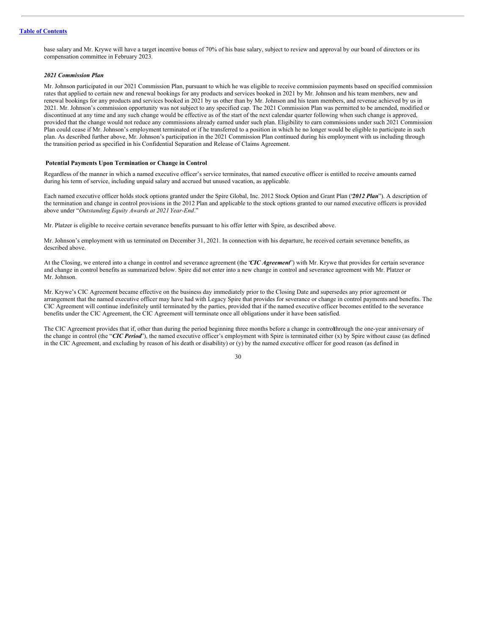base salary and Mr. Krywe will have a target incentive bonus of 70% of his base salary, subject to review and approval by our board of directors or its compensation committee in February 2023.

## *2021 Commission Plan*

Mr. Johnson participated in our 2021 Commission Plan, pursuant to which he was eligible to receive commission payments based on specified commission rates that applied to certain new and renewal bookings for any products and services booked in 2021 by Mr. Johnson and his team members, new and renewal bookings for any products and services booked in 2021 by us other than by Mr. Johnson and his team members, and revenue achieved by us in 2021. Mr. Johnson's commission opportunity was not subject to any specified cap. The 2021 Commission Plan was permitted to be amended, modified or discontinued at any time and any such change would be effective as of the start of the next calendar quarter following when such change is approved, provided that the change would not reduce any commissions already earned under such plan. Eligibility to earn commissions under such 2021 Commission Plan could cease if Mr. Johnson's employment terminated or if he transferred to a position in which he no longer would be eligible to participate in such plan. As described further above, Mr. Johnson's participation in the 2021 Commission Plan continued during his employment with us including through the transition period as specified in his Confidential Separation and Release of Claims Agreement.

## <span id="page-33-0"></span>**Potential Payments Upon Termination or Change in Control**

Regardless of the manner in which a named executive officer's service terminates, that named executive officer is entitled to receive amounts earned during his term of service, including unpaid salary and accrued but unused vacation, as applicable.

Each named executive officer holds stock options granted under the Spire Global, Inc. 2012 Stock Option and Grant Plan ("*2012 Plan*"). A description of the termination and change in control provisions in the 2012 Plan and applicable to the stock options granted to our named executive officers is provided above under "*Outstanding Equity Awards at 2021 Year-End*."

Mr. Platzer is eligible to receive certain severance benefits pursuant to his offer letter with Spire, as described above.

Mr. Johnson's employment with us terminated on December 31, 2021. In connection with his departure, he received certain severance benefits, as described above.

At the Closing, we entered into a change in control and severance agreement (the "*CIC Agreement*") with Mr. Krywe that provides for certain severance and change in control benefits as summarized below. Spire did not enter into a new change in control and severance agreement with Mr. Platzer or Mr. Johnson.

Mr. Krywe's CIC Agreement became effective on the business day immediately prior to the Closing Date and supersedes any prior agreement or arrangement that the named executive officer may have had with Legacy Spire that provides for severance or change in control payments and benefits. The CIC Agreement will continue indefinitely until terminated by the parties, provided that if the named executive officer becomes entitled to the severance benefits under the CIC Agreement, the CIC Agreement will terminate once all obligations under it have been satisfied.

The CIC Agreement provides that if, other than during the period beginning three months before a change in controlthrough the one-year anniversary of the change in control (the "*CIC Period*"), the named executive officer's employment with Spire is terminated either (x) by Spire without cause (as defined in the CIC Agreement, and excluding by reason of his death or disability) or (y) by the named executive officer for good reason (as defined in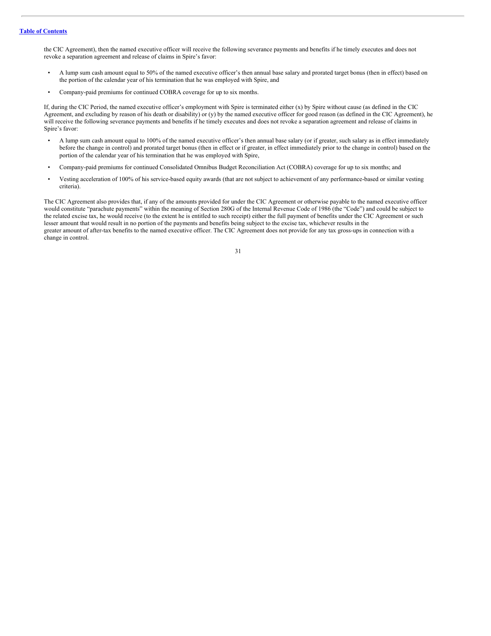the CIC Agreement), then the named executive officer will receive the following severance payments and benefits if he timely executes and does not revoke a separation agreement and release of claims in Spire's favor:

- A lump sum cash amount equal to 50% of the named executive officer's then annual base salary and prorated target bonus (then in effect) based on the portion of the calendar year of his termination that he was employed with Spire, and
- Company-paid premiums for continued COBRA coverage for up to six months.

If, during the CIC Period, the named executive officer's employment with Spire is terminated either (x) by Spire without cause (as defined in the CIC Agreement, and excluding by reason of his death or disability) or (y) by the named executive officer for good reason (as defined in the CIC Agreement), he will receive the following severance payments and benefits if he timely executes and does not revoke a separation agreement and release of claims in Spire's favor:

- A lump sum cash amount equal to 100% of the named executive officer's then annual base salary (or if greater, such salary as in effect immediately before the change in control) and prorated target bonus (then in effect or if greater, in effect immediately prior to the change in control) based on the portion of the calendar year of his termination that he was employed with Spire,
- Company-paid premiums for continued Consolidated Omnibus Budget Reconciliation Act (COBRA) coverage for up to six months; and
- Vesting acceleration of 100% of his service-based equity awards (that are not subject to achievement of any performance-based or similar vesting criteria).

The CIC Agreement also provides that, if any of the amounts provided for under the CIC Agreement or otherwise payable to the named executive officer would constitute "parachute payments" within the meaning of Section 280G of the Internal Revenue Code of 1986 (the "Code") and could be subject to the related excise tax, he would receive (to the extent he is entitled to such receipt) either the full payment of benefits under the CIC Agreement or such lesser amount that would result in no portion of the payments and benefits being subject to the excise tax, whichever results in the greater amount of after-tax benefits to the named executive officer. The CIC Agreement does not provide for any tax gross-ups in connection with a change in control.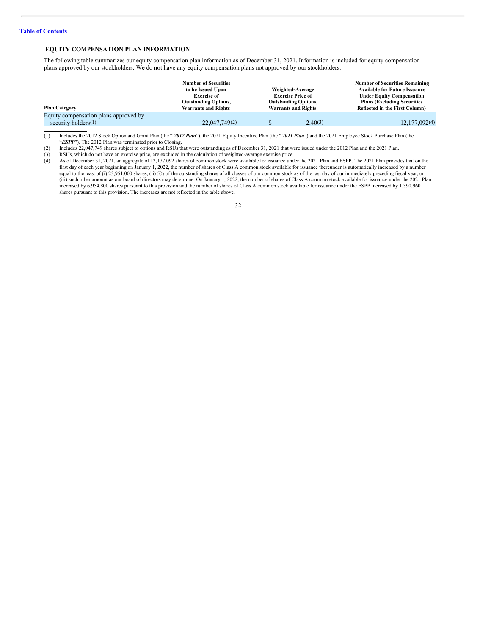## <span id="page-35-0"></span>**EQUITY COMPENSATION PLAN INFORMATION**

The following table summarizes our equity compensation plan information as of December 31, 2021. Information is included for equity compensation plans approved by our stockholders. We do not have any equity compensation plans not approved by our stockholders.

|                                       | <b>Number of Securities</b>           |                                                         |                                      | <b>Number of Securities Remaining</b> |
|---------------------------------------|---------------------------------------|---------------------------------------------------------|--------------------------------------|---------------------------------------|
|                                       | to be Issued Upon<br>Weighted-Average |                                                         | <b>Available for Future Issuance</b> |                                       |
|                                       | <b>Exercise of</b>                    | <b>Exercise Price of</b><br><b>Outstanding Options,</b> |                                      | <b>Under Equity Compensation</b>      |
|                                       | <b>Outstanding Options,</b>           |                                                         |                                      | <b>Plans (Excluding Securities)</b>   |
| <b>Plan Category</b>                  | <b>Warrants and Rights</b>            |                                                         | <b>Warrants and Rights</b>           | <b>Reflected in the First Column)</b> |
| Equity compensation plans approved by |                                       |                                                         |                                      |                                       |
| security holders $(1)$                | 22,047,749(2)                         |                                                         | 2.40(3)                              | 12,177,092(4)                         |

(1) Includes the 2012 Stock Option and Grant Plan (the " *2012 Plan*"), the 2021 Equity Incentive Plan (the " *2021 Plan*") and the 2021 Employee Stock Purchase Plan (the "**ESPP**"). The 2012 Plan was terminated prior to Closing.

(2) Includes 22,047,749 shares subject to options and RSUs that were outstanding as of December 31, 2021 that were issued under the 2012 Plan and the 2021 Plan.

(3) RSUs, which do not have an exercise price, are excluded in the calculation of weighted-average exercise price.<br>
(4) As of December 31, 2021, an aggregate of 12,177,092 shares of common stock were available for issuance

As of December 31, 2021, an aggregate of 12,177,092 shares of common stock were available for issuance under the 2021 Plan and ESPP. The 2021 Plan provides that on the first day of each year beginning on January 1, 2022, the number of shares of Class A common stock available for issuance thereunder is automatically increased by a number equal to the least of (i) 23,951,000 shares, (ii) 5% of the outstanding shares of all classes of our common stock as of the last day of our immediately preceding fiscal year, or (iii) such other amount as our board of directors may determine. On January 1, 2022, the number of shares of Class A common stock available for issuance under the 2021 Plan increased by 6,954,800 shares pursuant to this provision and the number of shares of Class A common stock available for issuance under the ESPP increased by 1,390,960 shares pursuant to this provision. The increases are not reflected in the table above.

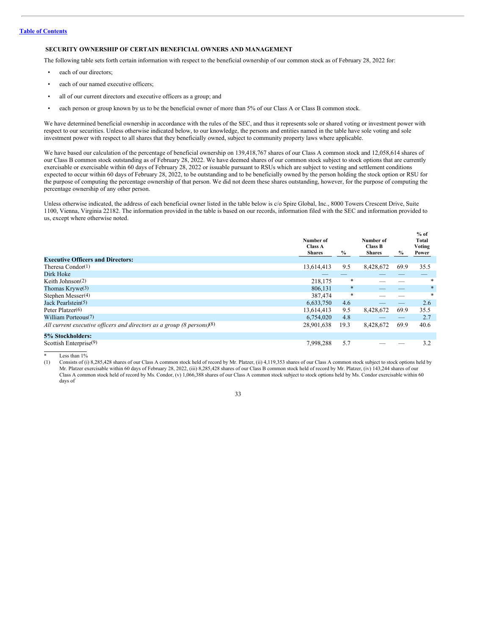## <span id="page-36-0"></span>**SECURITY OWNERSHIP OF CERTAIN BENEFICIAL OWNERS AND MANAGEMENT**

The following table sets forth certain information with respect to the beneficial ownership of our common stock as of February 28, 2022 for:

- each of our directors;
- each of our named executive officers;
- all of our current directors and executive officers as a group; and
- each person or group known by us to be the beneficial owner of more than 5% of our Class A or Class B common stock.

We have determined beneficial ownership in accordance with the rules of the SEC, and thus it represents sole or shared voting or investment power with respect to our securities. Unless otherwise indicated below, to our knowledge, the persons and entities named in the table have sole voting and sole investment power with respect to all shares that they beneficially owned, subject to community property laws where applicable.

We have based our calculation of the percentage of beneficial ownership on 139,418,767 shares of our Class A common stock and 12,058,614 shares of our Class B common stock outstanding as of February 28, 2022. We have deemed shares of our common stock subject to stock options that are currently exercisable or exercisable within 60 days of February 28, 2022 or issuable pursuant to RSUs which are subject to vesting and settlement conditions expected to occur within 60 days of February 28, 2022, to be outstanding and to be beneficially owned by the person holding the stock option or RSU for the purpose of computing the percentage ownership of that person. We did not deem these shares outstanding, however, for the purpose of computing the percentage ownership of any other person.

Unless otherwise indicated, the address of each beneficial owner listed in the table below is c/o Spire Global, Inc., 8000 Towers Crescent Drive, Suite 1100, Vienna, Virginia 22182. The information provided in the table is based on our records, information filed with the SEC and information provided to us, except where otherwise noted.

**% of**

|                                                                        | Number of<br><b>Class A</b><br><b>Shares</b> | $\%$   | Number of<br>Class B<br><b>Shares</b> | $\%$ | $\%$ 01<br>Total<br>Voting<br>Power |
|------------------------------------------------------------------------|----------------------------------------------|--------|---------------------------------------|------|-------------------------------------|
| <b>Executive Officers and Directors:</b>                               |                                              |        |                                       |      |                                     |
| Theresa $Condor(1)$                                                    | 13,614,413                                   | 9.5    | 8,428,672                             | 69.9 | 35.5                                |
| Dirk Hoke                                                              |                                              |        |                                       |      |                                     |
| Keith Johnson $(2)$                                                    | 218,175                                      | *      |                                       |      | *                                   |
| Thomas $Krywe(3)$                                                      | 806.131                                      | $\ast$ |                                       |      | $\ast$                              |
| Stephen Messer <sup>(4)</sup>                                          | 387,474                                      | $\ast$ |                                       |      | $\ast$                              |
| Jack Pearlstein <sup>(5)</sup>                                         | 6,633,750                                    | 4.6    |                                       |      | 2.6                                 |
| Peter Platzer <sup>(6)</sup>                                           | 13,614,413                                   | 9.5    | 8,428,672                             | 69.9 | 35.5                                |
| William Porteous <sup>(7)</sup>                                        | 6.754.020                                    | 4.8    |                                       |      | 2.7                                 |
| All current executive officers and directors as a group (8 persons)(8) | 28,901,638                                   | 19.3   | 8,428,672                             | 69.9 | 40.6                                |
| 5% Stockholders:                                                       |                                              |        |                                       |      |                                     |
| Scottish Enterprise(9)                                                 | 7,998,288                                    | 5.7    |                                       |      | 3.2                                 |

\* Less than  $1\%$ <br>(1) Consists of (i)

Consists of (i) 8,285,428 shares of our Class A common stock held of record by Mr. Platzer, (ii) 4,119,353 shares of our Class A common stock subject to stock options held by Mr. Platzer exercisable within 60 days of February 28, 2022, (iii) 8,285,428 shares of our Class B common stock held of record by Mr. Platzer, (iv) 143,244 shares of our Class A common stock held of record by Ms. Condor, (v) 1,066,388 shares of our Class A common stock subject to stock options held by Ms. Condor exercisable within 60 days of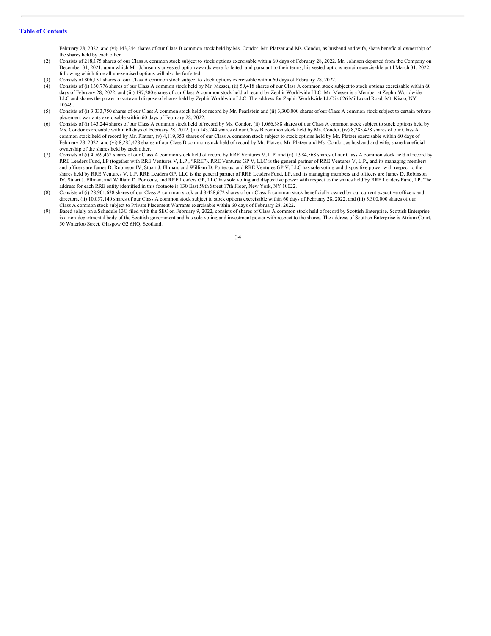February 28, 2022, and (vi) 143,244 shares of our Class B common stock held by Ms. Condor. Mr. Platzer and Ms. Condor, as husband and wife, share beneficial ownership of the shares held by each other.

- (2) Consists of 218,175 shares of our Class A common stock subject to stock options exercisable within 60 days of February 28, 2022. Mr. Johnson departed from the Company on December 31, 2021, upon which Mr. Johnson's unvested option awards were forfeited, and pursuant to their terms, his vested options remain exercisable until March 31, 2022, following which time all unexercised options will also be forfeited.
- (3) Consists of 806,131 shares of our Class A common stock subject to stock options exercisable within 60 days of February 28, 2022.
- (4) Consists of (i) 130,776 shares of our Class A common stock held by Mr. Messer, (ii) 59,418 shares of our Class A common stock subject to stock options exercisable within 60 days of February 28, 2022, and (iii) 197,280 shares of our Class A common stock held of record by Zephir Worldwide LLC. Mr. Messer is a Member at Zephir Worldwide LLC and shares the power to vote and dispose of shares held by Zephir Worldwide LLC. The address for Zephir Worldwide LLC is 626 Millwood Road, Mt. Kisco, NY 10549.
- (5) Consists of (i) 3,333,750 shares of our Class A common stock held of record by Mr. Pearlstein and (ii) 3,300,000 shares of our Class A common stock subject to certain private placement warrants exercisable within 60 days of February 28, 2022.
- (6) Consists of (i) 143,244 shares of our Class A common stock held of record by Ms. Condor, (ii) 1,066,388 shares of our Class A common stock subject to stock options held by Ms. Condor exercisable within 60 days of February 28, 2022, (iii) 143,244 shares of our Class B common stock held by Ms. Condor, (iv) 8,285,428 shares of our Class A common stock held of record by Mr. Platzer, (v) 4,119,353 shares of our Class A common stock subject to stock options held by Mr. Platzer exercisable within 60 days of February 28, 2022, and (vi) 8,285,428 shares of our Class B common stock held of record by Mr. Platzer. Mr. Platzer and Ms. Condor, as husband and wife, share beneficial ownership of the shares held by each other.
- (7) Consists of (i) 4,769,452 shares of our Class A common stock held of record by RRE Ventures V, L.P. and (ii) 1,984,568 shares of our Class A common stock held of record by RRE Leaders Fund, LP (together with RRE Ventures V, L.P., "RRE"). RRE Ventures GP V, LLC is the general partner of RRE Ventures V, L.P., and its managing members and officers are James D. Robinson IV, Stuart J. Ellman, and William D. Porteous, and RRE Ventures GP V, LLC has sole voting and dispositive power with respect to the shares held by RRE Ventures V, L.P. RRE Leaders GP, LLC is the general partner of RRE Leaders Fund, LP, and its managing members and officers are James D. Robinson IV, Stuart J. Ellman, and William D. Porteous, and RRE Leaders GP, LLC has sole voting and dispositive power with respect to the shares held by RRE Leaders Fund, LP. The address for each RRE entity identified in this footnote is 130 East 59th Street 17th Floor, New York, NY 10022.
- Consists of (i) 28,901,638 shares of our Class A common stock and 8,428,672 shares of our Class B common stock beneficially owned by our current executive officers and directors, (ii) 10,057,140 shares of our Class A common stock subject to stock options exercisable within 60 days of February 28, 2022, and (iii) 3,300,000 shares of our Class A common stock subject to Private Placement Warrants exercisable within 60 days of February 28, 2022.
- (9) Based solely on a Schedule 13G filed with the SEC on February 9, 2022, consists of shares of Class A common stock held of record by Scottish Enterprise. Scottish Enterprise is a non-departmental body of the Scottish government and has sole voting and investment power with respect to the shares. The address of Scottish Enterprise is Atrium Court, 50 Waterloo Street, Glasgow G2 6HQ, Scotland.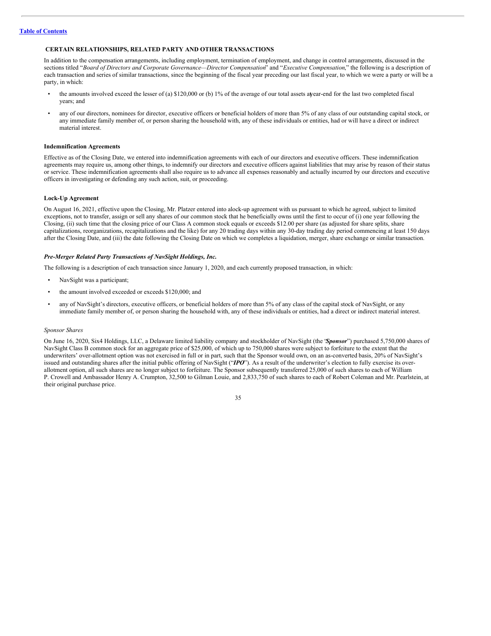## <span id="page-38-0"></span>**CERTAIN RELATIONSHIPS, RELATED PARTY AND OTHER TRANSACTIONS**

In addition to the compensation arrangements, including employment, termination of employment, and change in control arrangements, discussed in the sections titled "*Board of Directors and Corporate Governance—Director Compensation*" and "*Executive Compensation*," the following is a description of each transaction and series of similar transactions, since the beginning of the fiscal year preceding our last fiscal year, to which we were a party or will be a party, in which:

- the amounts involved exceed the lesser of (a) \$120,000 or (b) 1% of the average of our total assets atyear-end for the last two completed fiscal years; and
- any of our directors, nominees for director, executive officers or beneficial holders of more than 5% of any class of our outstanding capital stock, or any immediate family member of, or person sharing the household with, any of these individuals or entities, had or will have a direct or indirect material interest.

## **Indemnification Agreements**

Effective as of the Closing Date, we entered into indemnification agreements with each of our directors and executive officers. These indemnification agreements may require us, among other things, to indemnify our directors and executive officers against liabilities that may arise by reason of their status or service. These indemnification agreements shall also require us to advance all expenses reasonably and actually incurred by our directors and executive officers in investigating or defending any such action, suit, or proceeding.

### **Lock-Up Agreement**

On August 16, 2021, effective upon the Closing, Mr. Platzer entered into alock-up agreement with us pursuant to which he agreed, subject to limited exceptions, not to transfer, assign or sell any shares of our common stock that he beneficially owns until the first to occur of (i) one year following the Closing, (ii) such time that the closing price of our Class A common stock equals or exceeds \$12.00 per share (as adjusted for share splits, share capitalizations, reorganizations, recapitalizations and the like) for any 20 trading days within any 30-day trading day period commencing at least 150 days after the Closing Date, and (iii) the date following the Closing Date on which we completes a liquidation, merger, share exchange or similar transaction.

## *Pre-Merger Related Party Transactions of NavSight Holdings, Inc.*

The following is a description of each transaction since January 1, 2020, and each currently proposed transaction, in which:

- NavSight was a participant;
- the amount involved exceeded or exceeds \$120,000; and
- any of NavSight's directors, executive officers, or beneficial holders of more than 5% of any class of the capital stock of NavSight, or any immediate family member of, or person sharing the household with, any of these individuals or entities, had a direct or indirect material interest.

## *Sponsor Shares*

On June 16, 2020, Six4 Holdings, LLC, a Delaware limited liability company and stockholder of NavSight (the "*Sponsor*") purchased 5,750,000 shares of NavSight Class B common stock for an aggregate price of \$25,000, of which up to 750,000 shares were subject to forfeiture to the extent that the underwriters' over-allotment option was not exercised in full or in part, such that the Sponsor would own, on an as-converted basis, 20% of NavSight's issued and outstanding shares after the initial public offering of NavSight ("*IPO*"). As a result of the underwriter's election to fully exercise its overallotment option, all such shares are no longer subject to forfeiture. The Sponsor subsequently transferred 25,000 of such shares to each of William P. Crowell and Ambassador Henry A. Crumpton, 32,500 to Gilman Louie, and 2,833,750 of such shares to each of Robert Coleman and Mr. Pearlstein, at their original purchase price.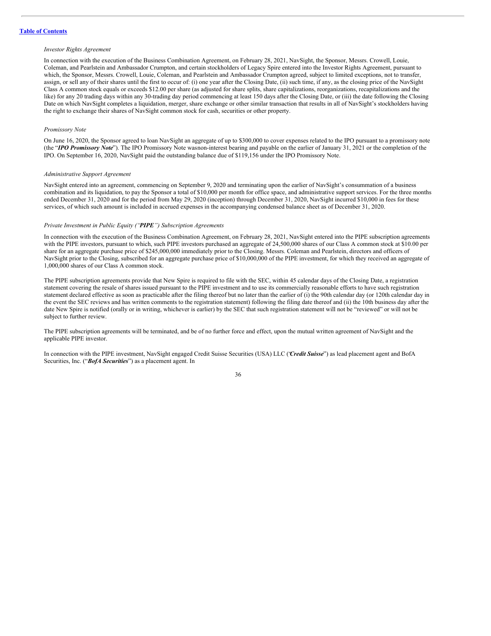#### *Investor Rights Agreement*

In connection with the execution of the Business Combination Agreement, on February 28, 2021, NavSight, the Sponsor, Messrs. Crowell, Louie, Coleman, and Pearlstein and Ambassador Crumpton, and certain stockholders of Legacy Spire entered into the Investor Rights Agreement, pursuant to which, the Sponsor, Messrs. Crowell, Louie, Coleman, and Pearlstein and Ambassador Crumpton agreed, subject to limited exceptions, not to transfer, assign, or sell any of their shares until the first to occur of: (i) one year after the Closing Date, (ii) such time, if any, as the closing price of the NavSight Class A common stock equals or exceeds \$12.00 per share (as adjusted for share splits, share capitalizations, reorganizations, recapitalizations and the like) for any 20 trading days within any 30-trading day period commencing at least 150 days after the Closing Date, or (iii) the date following the Closing Date on which NavSight completes a liquidation, merger, share exchange or other similar transaction that results in all of NavSight's stockholders having the right to exchange their shares of NavSight common stock for cash, securities or other property.

## *Promissory Note*

On June 16, 2020, the Sponsor agreed to loan NavSight an aggregate of up to \$300,000 to cover expenses related to the IPO pursuant to a promissory note (the "*IPO Promissory Note*"). The IPO Promissory Note wasnon-interest bearing and payable on the earlier of January 31, 2021 or the completion of the IPO. On September 16, 2020, NavSight paid the outstanding balance due of \$119,156 under the IPO Promissory Note.

#### *Administrative Support Agreement*

NavSight entered into an agreement, commencing on September 9, 2020 and terminating upon the earlier of NavSight's consummation of a business combination and its liquidation, to pay the Sponsor a total of \$10,000 per month for office space, and administrative support services. For the three months ended December 31, 2020 and for the period from May 29, 2020 (inception) through December 31, 2020, NavSight incurred \$10,000 in fees for these services, of which such amount is included in accrued expenses in the accompanying condensed balance sheet as of December 31, 2020.

#### *Private Investment in Public Equity ("PIPE") Subscription Agreements*

In connection with the execution of the Business Combination Agreement, on February 28, 2021, NavSight entered into the PIPE subscription agreements with the PIPE investors, pursuant to which, such PIPE investors purchased an aggregate of 24,500,000 shares of our Class A common stock at \$10.00 per share for an aggregate purchase price of \$245,000,000 immediately prior to the Closing. Messrs. Coleman and Pearlstein, directors and officers of NavSight prior to the Closing, subscribed for an aggregate purchase price of \$10,000,000 of the PIPE investment, for which they received an aggregate of 1,000,000 shares of our Class A common stock.

The PIPE subscription agreements provide that New Spire is required to file with the SEC, within 45 calendar days of the Closing Date, a registration statement covering the resale of shares issued pursuant to the PIPE investment and to use its commercially reasonable efforts to have such registration statement declared effective as soon as practicable after the filing thereof but no later than the earlier of (i) the 90th calendar day (or 120th calendar day in the event the SEC reviews and has written comments to the registration statement) following the filing date thereof and (ii) the 10th business day after the date New Spire is notified (orally or in writing, whichever is earlier) by the SEC that such registration statement will not be "reviewed" or will not be subject to further review.

The PIPE subscription agreements will be terminated, and be of no further force and effect, upon the mutual written agreement of NavSight and the applicable PIPE investor.

In connection with the PIPE investment, NavSight engaged Credit Suisse Securities (USA) LLC ("*Credit Suisse*") as lead placement agent and BofA Securities, Inc. ("*BofA Securities*") as a placement agent. In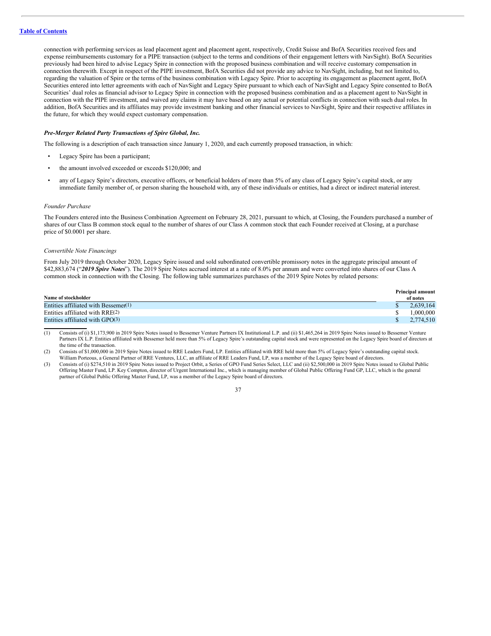connection with performing services as lead placement agent and placement agent, respectively, Credit Suisse and BofA Securities received fees and expense reimbursements customary for a PIPE transaction (subject to the terms and conditions of their engagement letters with NavSight). BofA Securities previously had been hired to advise Legacy Spire in connection with the proposed business combination and will receive customary compensation in connection therewith. Except in respect of the PIPE investment, BofA Securities did not provide any advice to NavSight, including, but not limited to, regarding the valuation of Spire or the terms of the business combination with Legacy Spire. Prior to accepting its engagement as placement agent, BofA Securities entered into letter agreements with each of NavSight and Legacy Spire pursuant to which each of NavSight and Legacy Spire consented to BofA Securities' dual roles as financial advisor to Legacy Spire in connection with the proposed business combination and as a placement agent to NavSight in connection with the PIPE investment, and waived any claims it may have based on any actual or potential conflicts in connection with such dual roles. In addition, BofA Securities and its affiliates may provide investment banking and other financial services to NavSight, Spire and their respective affiliates in the future, for which they would expect customary compensation.

#### *Pre-Merger Related Party Transactions of Spire Global, Inc.*

The following is a description of each transaction since January 1, 2020, and each currently proposed transaction, in which:

- Legacy Spire has been a participant;
- the amount involved exceeded or exceeds \$120,000; and
- any of Legacy Spire's directors, executive officers, or beneficial holders of more than 5% of any class of Legacy Spire's capital stock, or any immediate family member of, or person sharing the household with, any of these individuals or entities, had a direct or indirect material interest.

#### *Founder Purchase*

The Founders entered into the Business Combination Agreement on February 28, 2021, pursuant to which, at Closing, the Founders purchased a number of shares of our Class B common stock equal to the number of shares of our Class A common stock that each Founder received at Closing, at a purchase price of \$0.0001 per share.

## *Convertible Note Financings*

From July 2019 through October 2020, Legacy Spire issued and sold subordinated convertible promissory notes in the aggregate principal amount of \$42,883,674 ("*2019 Spire Notes*"). The 2019 Spire Notes accrued interest at a rate of 8.0% per annum and were converted into shares of our Class A common stock in connection with the Closing. The following table summarizes purchases of the 2019 Spire Notes by related persons:

|                                         | <b>Principal amount</b> |
|-----------------------------------------|-------------------------|
| Name of stockholder                     | of notes                |
| Entities affiliated with Bessemer $(1)$ | 2.639.164               |
| Entities affiliated with $RRE(2)$       | 1.000.000               |
| Entities affiliated with $GPO(3)$       | 2.774.510               |

(1) Consists of (i) \$1,173,900 in 2019 Spire Notes issued to Bessemer Venture Partners IX Institutional L.P. and (ii) \$1,465,264 in 2019 Spire Notes issued to Bessemer Venture Partners IX L.P. Entities affiliated with Bessemer held more than 5% of Legacy Spire's outstanding capital stock and were represented on the Legacy Spire board of directors at the time of the transaction.

(2) Consists of \$1,000,000 in 2019 Spire Notes issued to RRE Leaders Fund, LP. Entities affiliated with RRE held more than 5% of Legacy Spire's outstanding capital stock. William Porteous, a General Partner of RRE Ventures, LLC, an affiliate of RRE Leaders Fund, LP, was a member of the Legacy Spire board of directors.

(3) Consists of (i) \$274,510 in 2019 Spire Notes issued to Project Orbit, a Series of GPO Fund Series Select, LLC and (ii) \$2,500,000 in 2019 Spire Notes issued to Global Public Offering Master Fund, LP. Key Compton, director of Urgent International Inc., which is managing member of Global Public Offering Fund GP, LLC, which is the general partner of Global Public Offering Master Fund, LP, was a member of the Legacy Spire board of directors.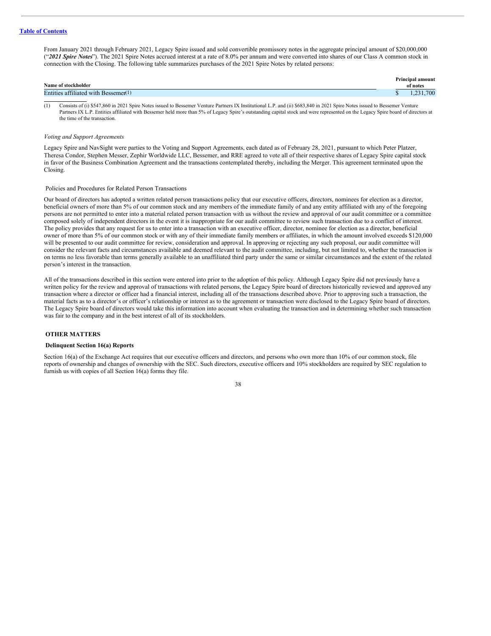From January 2021 through February 2021, Legacy Spire issued and sold convertible promissory notes in the aggregate principal amount of \$20,000,000 ("*2021 Spire Notes*"). The 2021 Spire Notes accrued interest at a rate of 8.0% per annum and were converted into shares of our Class A common stock in connection with the Closing. The following table summarizes purchases of the 2021 Spire Notes by related persons:

| Name of stockholder                  | <b>Principal amount</b><br>of notes |
|--------------------------------------|-------------------------------------|
| Entities affiliated with Bessemer(1) | .700                                |

(1) Consists of (i) \$547,860 in 2021 Spire Notes issued to Bessemer Venture Partners IX Institutional L.P. and (ii) \$683,840 in 2021 Spire Notes issued to Bessemer Venture Partners IX L.P. Entities affiliated with Bessemer held more than 5% of Legacy Spire's outstanding capital stock and were represented on the Legacy Spire board of directors at the time of the transaction.

#### *Voting and Support Agreements*

Legacy Spire and NavSight were parties to the Voting and Support Agreements, each dated as of February 28, 2021, pursuant to which Peter Platzer, Theresa Condor, Stephen Messer, Zephir Worldwide LLC, Bessemer, and RRE agreed to vote all of their respective shares of Legacy Spire capital stock in favor of the Business Combination Agreement and the transactions contemplated thereby, including the Merger. This agreement terminated upon the Closing.

## <span id="page-41-0"></span>Policies and Procedures for Related Person Transactions

Our board of directors has adopted a written related person transactions policy that our executive officers, directors, nominees for election as a director, beneficial owners of more than 5% of our common stock and any members of the immediate family of and any entity affiliated with any of the foregoing persons are not permitted to enter into a material related person transaction with us without the review and approval of our audit committee or a committee composed solely of independent directors in the event it is inappropriate for our audit committee to review such transaction due to a conflict of interest. The policy provides that any request for us to enter into a transaction with an executive officer, director, nominee for election as a director, beneficial owner of more than 5% of our common stock or with any of their immediate family members or affiliates, in which the amount involved exceeds \$120,000 will be presented to our audit committee for review, consideration and approval. In approving or rejecting any such proposal, our audit committee will consider the relevant facts and circumstances available and deemed relevant to the audit committee, including, but not limited to, whether the transaction is on terms no less favorable than terms generally available to an unaffiliated third party under the same or similar circumstances and the extent of the related person's interest in the transaction.

All of the transactions described in this section were entered into prior to the adoption of this policy. Although Legacy Spire did not previously have a written policy for the review and approval of transactions with related persons, the Legacy Spire board of directors historically reviewed and approved any transaction where a director or officer had a financial interest, including all of the transactions described above. Prior to approving such a transaction, the material facts as to a director's or officer's relationship or interest as to the agreement or transaction were disclosed to the Legacy Spire board of directors. The Legacy Spire board of directors would take this information into account when evaluating the transaction and in determining whether such transaction was fair to the company and in the best interest of all of its stockholders.

## <span id="page-41-1"></span>**OTHER MATTERS**

#### <span id="page-41-2"></span>**Delinquent Section 16(a) Reports**

Section 16(a) of the Exchange Act requires that our executive officers and directors, and persons who own more than 10% of our common stock, file reports of ownership and changes of ownership with the SEC. Such directors, executive officers and 10% stockholders are required by SEC regulation to furnish us with copies of all Section 16(a) forms they file.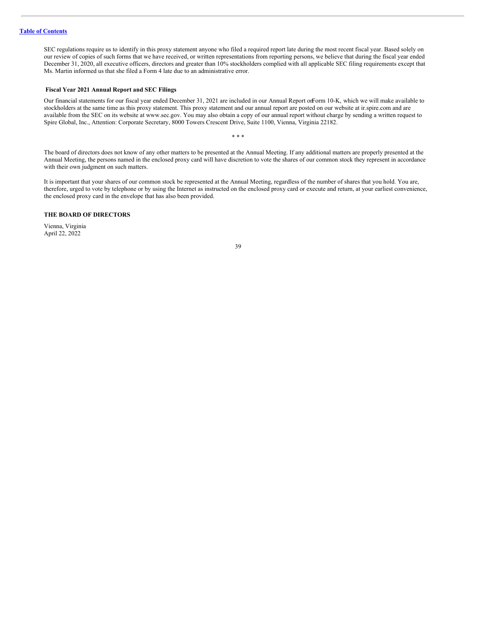SEC regulations require us to identify in this proxy statement anyone who filed a required report late during the most recent fiscal year. Based solely on our review of copies of such forms that we have received, or written representations from reporting persons, we believe that during the fiscal year ended December 31, 2020, all executive officers, directors and greater than 10% stockholders complied with all applicable SEC filing requirements except that Ms. Martin informed us that she filed a Form 4 late due to an administrative error.

## <span id="page-42-0"></span>**Fiscal Year 2021 Annual Report and SEC Filings**

Our financial statements for our fiscal year ended December 31, 2021 are included in our Annual Report onForm 10-K, which we will make available to stockholders at the same time as this proxy statement. This proxy statement and our annual report are posted on our website at ir.spire.com and are available from the SEC on its website at www.sec.gov. You may also obtain a copy of our annual report without charge by sending a written request to Spire Global, Inc., Attention: Corporate Secretary, 8000 Towers Crescent Drive, Suite 1100, Vienna, Virginia 22182.

The board of directors does not know of any other matters to be presented at the Annual Meeting. If any additional matters are properly presented at the Annual Meeting, the persons named in the enclosed proxy card will have discretion to vote the shares of our common stock they represent in accordance with their own judgment on such matters.

\* \* \*

It is important that your shares of our common stock be represented at the Annual Meeting, regardless of the number of shares that you hold. You are, therefore, urged to vote by telephone or by using the Internet as instructed on the enclosed proxy card or execute and return, at your earliest convenience, the enclosed proxy card in the envelope that has also been provided.

## **THE BOARD OF DIRECTORS**

Vienna, Virginia April 22, 2022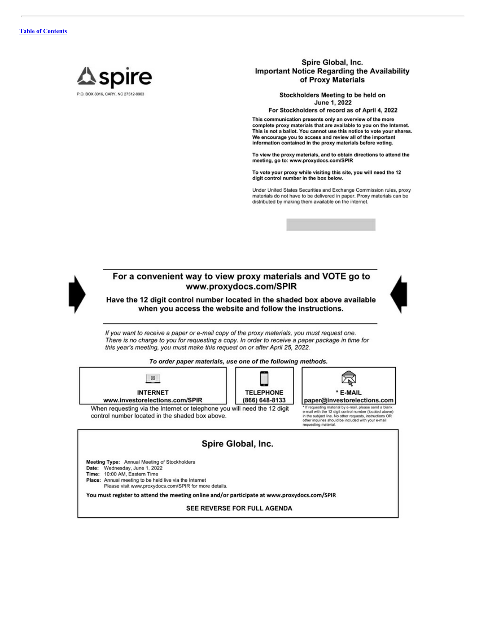

Spire Global, Inc. **Important Notice Regarding the Availability** of Proxy Materials

> Stockholders Meeting to be held on June 1, 2022

For Stockholders of record as of April 4, 2022

This communication presents only an overview of the more complete proxy materials that are available to you on the Internet. This is not a ballot. You cannot use this notice to vote your shares. We encourage you to access and review all of the important information contained in the proxy materials before voting.

To view the proxy materials, and to obtain directions to attend the meeting, go to: www.proxydocs.com/SPIR

To vote your proxy while visiting this site, you will need the 12 digit control number in the box below.

Under United States Securities and Exchange Commission rules, proxy<br>materials do not have to be delivered in paper. Proxy materials can be distributed by making them available on the internet.





## For a convenient way to view proxy materials and VOTE go to www.proxydocs.com/SPIR

Have the 12 digit control number located in the shaded box above available when you access the website and follow the instructions.

If you want to receive a paper or e-mail copy of the proxy materials, you must request one. There is no charge to you for requesting a copy. In order to receive a paper package in time for this year's meeting, you must make this request on or after April 25, 2022.





Meeting Type: Annual Meeting of Stockholders

Date: Wednesday, June 1, 2022

Time: 10:00 AM, Eastern Time

Place: Annual meeting to be held live via the Internet

Please visit www.proxydocs.com/SPIR for more details.

You must register to attend the meeting online and/or participate at www.proxydocs.com/SPIR

SEE REVERSE FOR FULL AGENDA